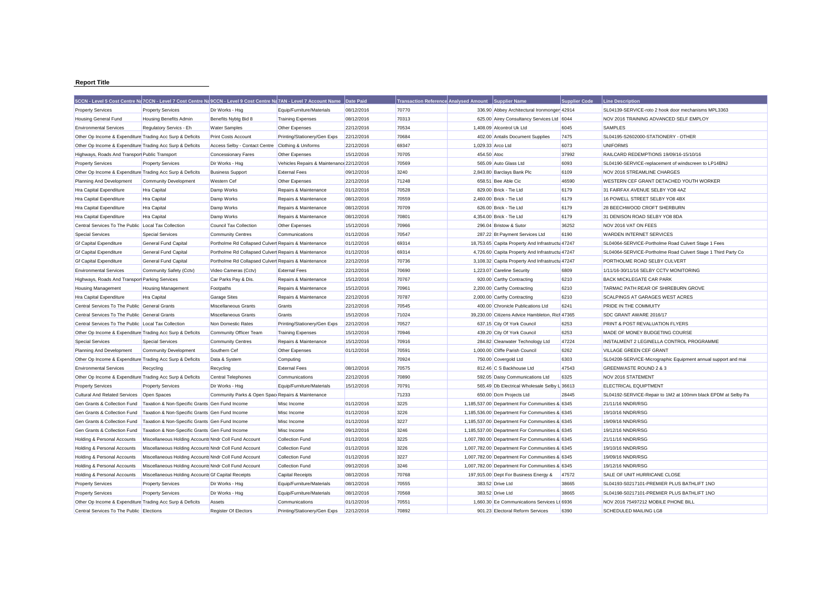## **Report Title**

| 5CCN - Level 5 Cost Centre Na 7CCN - Level 7 Cost Centre Na 9CCN - Level 9 Cost Centre Na 7AN - Level 7 Account Name<br><b>Supplier Code</b><br>Date Paid<br><b>Transaction Reference Analysed Amount</b><br><b>Supplier Name</b><br>Line Description    |  |
|----------------------------------------------------------------------------------------------------------------------------------------------------------------------------------------------------------------------------------------------------------|--|
| <b>Property Services</b><br><b>Property Services</b><br>Dir Works - Hsg<br>Equip/Furniture/Materials<br>08/12/2016<br>70770<br>336.90 Abbey Architectural Ironmonger 42914<br>SL04139-SERVICE-roto 2 hook door mechanisms MPL3363                        |  |
| Benefits Nybtg Bid 8<br>08/12/2016<br>70313<br>625.00 Airey Consultancy Services Ltd 6044<br>NOV 2016 TRAINING ADVANCED SELF EMPLOY<br>Housing General Fund<br>Housing Benefits Admin<br><b>Training Expenses</b>                                        |  |
| 22/12/2016<br>70534<br>SAMPLES<br><b>Environmental Services</b><br><b>Water Samples</b><br>Other Expenses<br>1,408.09 Alcontrol Uk Ltd<br>6045<br>Regulatory Servics - Eh                                                                                |  |
| Other Op Income & Expenditure Trading Acc Surp & Deficits<br>Printing/Stationery/Gen Exps<br>22/12/2016<br>70684<br>402.00 Antalis Document Supplies<br>7475<br>SL04195-S2602000-STATIONERY - OTHER<br><b>Print Costs Account</b>                        |  |
| 69347<br>6073<br><b>UNIFORMS</b><br>Other Op Income & Expenditure Trading Acc Surp & Deficits<br>Access Selby - Contact Centre Clothing & Uniforms<br>22/12/2016<br>1,029.33 Arco Ltd                                                                    |  |
| 15/12/2016<br>70705<br>454.50 Atoc<br>37992<br>RAILCARD REDEMPTIONS 19/09/16-15/10/16<br>Highways, Roads And Transpor Public Transport<br><b>Concessionary Fares</b><br>Other Expenses                                                                   |  |
| 70569<br>565.09 Auto Glass Ltd<br>6093<br><b>Property Services</b><br><b>Property Services</b><br>Dir Works - Hsg<br>Vehicles Repairs & Maintenance 22/12/2016<br>SL04190-SERVICE-replacement of windscreen to LP14BNJ                                   |  |
| 3240<br>Other Op Income & Expenditure Trading Acc Surp & Deficits<br><b>Business Support</b><br><b>External Fees</b><br>09/12/2016<br>2,843.80 Barclays Bank Plc<br>6109<br>NOV 2016 STREAMLINE CHARGES                                                  |  |
| 71248<br>46590<br>WESTERN CEF GRANT DETACHED YOUTH WORKER<br>Planning And Development<br><b>Community Development</b><br>Western Cef<br>Other Expenses<br>22/12/2016<br>658.51 Bee Able Cic                                                              |  |
| 70528<br>6179<br>01/12/2016<br>829.00 Brick - Tie Ltd<br>31 FAIRFAX AVENUE SELBY YO8 4AZ<br>Hra Capital Expenditure<br>Hra Capital<br>Damp Works<br>Repairs & Maintenance                                                                                |  |
| 70559<br>Hra Capital Expenditure<br>Hra Capital<br>Damp Works<br>Repairs & Maintenance<br>08/12/2016<br>2,460.00 Brick - Tie Ltd<br>6179<br>16 POWELL STREET SELBY YO8 4BX                                                                               |  |
| 70709<br>6179<br>Damp Works<br>Repairs & Maintenance<br>08/12/2016<br>626.00 Brick - Tie Ltd<br>28 BEECHWOOD CROFT SHERBURN<br><b>Hra Capital Expenditure</b><br><b>Hra Capital</b>                                                                      |  |
| 70801<br>6179<br>08/12/2016<br>4,354.00 Brick - Tie Ltd<br>31 DENISON ROAD SELBY YO8 8DA<br>Hra Capital Expenditure<br>Hra Capital<br>Damp Works<br>Repairs & Maintenance                                                                                |  |
| 36252<br>Central Services To The Public Local Tax Collection<br><b>Council Tax Collection</b><br>Other Expenses<br>15/12/2016<br>70966<br>296.04 Bristow & Sutor<br>NOV 2016 VAT ON FEES                                                                 |  |
| <b>Special Services</b><br><b>Special Services</b><br>01/12/2016<br>70547<br>287.22 Bt Payment Services Ltd<br>6190<br><b>WARDEN INTERNET SERVICES</b><br><b>Community Centres</b><br>Communications                                                     |  |
| 69314<br>General Fund Capital<br>Portholme Rd Collapsed Culvert Repairs & Maintenance<br>18,753.65 Capita Property And Infrastructu 47247<br>SL04064-SERVICE-Portholme Road Culvert Stage 1 Fees<br><b>Gf Capital Expenditure</b><br>01/12/2016          |  |
| General Fund Capital<br>Portholme Rd Collapsed Culverl Repairs & Maintenance<br>01/12/2016<br>69314<br>4,726.60 Capita Property And Infrastructu 47247<br>SL04064-SERVICE-Portholme Road Culvert Stage 1 Third Party Co<br><b>Gf Capital Expenditure</b> |  |
| Portholme Rd Collapsed Culverl Repairs & Maintenance<br>22/12/2016<br>70736<br>PORTHOLME ROAD SELBY CULVERT<br><b>Gf Capital Expenditure</b><br>General Fund Capital<br>3,108.32 Capita Property And Infrastructu 47247                                  |  |
| 70690<br>6809<br><b>Environmental Services</b><br>Community Safety (Cctv)<br>Video Cameras (Cctv)<br><b>External Fees</b><br>22/12/2016<br>1,223.07 Careline Security<br>1/11/16-30/11/16 SELBY CCTV MONITORING                                          |  |
| Car Parks Pay & Dis.<br>15/12/2016<br>70767<br>6210<br><b>BACK MICKLEGATE CAR PARK</b><br>Highways, Roads And Transpor Parking Services<br>Repairs & Maintenance<br>920.00 Carthy Contracting                                                            |  |
| 70961<br>Footpaths<br>15/12/2016<br>2,200.00 Carthy Contracting<br>6210<br>TARMAC PATH REAR OF SHIREBURN GROVE<br><b>Housing Management</b><br><b>Housing Management</b><br>Repairs & Maintenance                                                        |  |
| Hra Capital Expenditure<br>Hra Capital<br><b>Garage Sites</b><br>Repairs & Maintenance<br>22/12/2016<br>70787<br>2,000.00 Carthy Contracting<br>6210<br>SCALPINGS AT GARAGES WEST ACRES                                                                  |  |
| 70545<br>Central Services To The Public<br>General Grants<br>Miscellaneous Grants<br>Grants<br>22/12/2016<br>400.00 Chronicle Publications Ltd<br>6241<br>PRIDE IN THE COMMUITY                                                                          |  |
| 71024<br>39,230.00 Citizens Advice Hambleton, Rich 47365<br>Central Services To The Public General Grants<br>Miscellaneous Grants<br>Grants<br>15/12/2016<br>SDC GRANT AWARE 2016/17                                                                     |  |
| Central Services To The Public Local Tax Collection<br>Non Domestic Rates<br>Printing/Stationery/Gen Exps<br>22/12/2016<br>70527<br>637.15 City Of York Council<br>6253<br>PRINT & POST REVALUATION FLYERS                                               |  |
| Other Op Income & Expenditure Trading Acc Surp & Deficits<br>Community Officer Team<br>15/12/2016<br>70946<br>439.20 City Of York Council<br>6253<br>MADE OF MONEY BUDGETING COURSE<br><b>Training Expenses</b>                                          |  |
| 70916<br>47224<br>INSTALMENT 2 LEGINELLA CONTROL PROGRAMME<br><b>Special Services</b><br><b>Special Services</b><br><b>Community Centres</b><br>Repairs & Maintenance<br>15/12/2016<br>284.82 Clearwater Technology Ltd                                  |  |
| 70591<br>1.000.00 Cliffe Parish Council<br>6262<br><b>VILLAGE GREEN CEF GRANT</b><br>Planning And Development<br><b>Community Development</b><br>Southern Cef<br>Other Expenses<br>01/12/2016                                                            |  |
| 70924<br>6303<br>Other Op Income & Expenditure Trading Acc Surp & Deficits<br>750.00 Covergold Ltd<br>SL04208-SERVICE-Micrographic Equipment annual support and mai<br>Data & System<br>Computing                                                        |  |
| 08/12/2016<br>70575<br>47543<br><b>Environmental Services</b><br>Recycling<br>Recycling<br><b>External Fees</b><br>812.46 C S Backhouse Ltd<br>GREENWASTE ROUND 2 & 3                                                                                    |  |
| 70890<br>Other Op Income & Expenditure Trading Acc Surp & Deficits<br>Central Telephones<br>Communications<br>22/12/2016<br>592.05 Daisy Communications Ltd<br>6325<br>NOV 2016 STATEMENT                                                                |  |
| 70791<br>15/12/2016<br>565.49 Db Electrical Wholesale Selby L 36613<br><b>ELECTRICAL EQUIPTMENT</b><br><b>Property Services</b><br><b>Property Services</b><br>Dir Works - Hsg<br>Equip/Furniture/Materials                                              |  |
| 71233<br><b>Cultural And Related Services</b><br>Open Spaces<br>Community Parks & Open Spac Repairs & Maintenance<br>650.00 Dcm Projects Ltd<br>28445<br>SL04192-SERVICE-Repair to 1M2 at 100mm black EPDM at Selby Pa                                   |  |
| 3225<br>Taxation & Non-Specific Grants Gen Fund Income<br>01/12/2016<br>1,185,537.00 Department For Communities & 6345<br>Gen Grants & Collection Fund<br>Misc Income<br>21/11/16 NNDR/RSG                                                               |  |
| 3226<br>Taxation & Non-Specific Grants Gen Fund Income<br>01/12/2016<br>Gen Grants & Collection Fund<br>Misc Income<br>1,185,536.00 Department For Communities & 6345<br>19/10/16 NNDR/RSG                                                               |  |
| 3227<br>Gen Grants & Collection Fund<br>Taxation & Non-Specific Grants Gen Fund Income<br>Misc Income<br>01/12/2016<br>1,185,537.00 Department For Communities & 6345<br>19/09/16 NNDR/RSG                                                               |  |
| 3246<br>Taxation & Non-Specific Grants Gen Fund Income<br>09/12/2016<br>1,185,537.00 Department For Communities & 6345<br>Gen Grants & Collection Fund<br>Misc Income<br>19/12/16 NNDR/RSG                                                               |  |
| 3225<br>Holding & Personal Accounts<br>Miscellaneous Holding Accounts Nndr Coll Fund Account<br><b>Collection Fund</b><br>01/12/2016<br>1,007,780.00 Department For Communities & 6345<br>21/11/16 NNDR/RSG                                              |  |
| 3226<br>Holding & Personal Accounts<br>Miscellaneous Holding Accounts Nndr Coll Fund Account<br>Collection Fund<br>01/12/2016<br>1,007,782.00 Department For Communities & 6345<br>19/10/16 NNDR/RSG                                                     |  |
| 3227<br>Miscellaneous Holding Accounts Nndr Coll Fund Account<br><b>Collection Fund</b><br>01/12/2016<br>1,007,782.00 Department For Communities & 6345<br>19/09/16 NNDR/RSG<br>Holding & Personal Accounts                                              |  |
| Miscellaneous Holding Accounts Nndr Coll Fund Account<br>3246<br>Holding & Personal Accounts<br><b>Collection Fund</b><br>09/12/2016<br>1,007,782.00 Department For Communities & 6345<br>19/12/16 NNDR/RSG                                              |  |
| 70768<br>Holding & Personal Accounts<br>Miscellaneous Holding Accounts Gf Capital Receipts<br><b>Capital Receipts</b><br>08/12/2016<br>197,915.00 Dept For Business Energy &<br>47572<br>SALE OF UNIT HURRICANE CLOSE                                    |  |
| 70555<br>38665<br><b>Property Services</b><br><b>Property Services</b><br>Dir Works - Hsg<br>Equip/Furniture/Materials<br>08/12/2016<br>383.52 Drive Ltd<br>SL04193-S0217101-PREMIER PLUS BATHLIFT 1NO                                                   |  |
| <b>Property Services</b><br>Dir Works - Hsg<br>Equip/Furniture/Materials<br>08/12/2016<br>70568<br>383.52 Drive Ltd<br>38665<br>SL04198-S0217101-PREMIER PLUS BATHLIFT 1NO<br><b>Property Services</b>                                                   |  |
| 70551<br>Other Op Income & Expenditure Trading Acc Surp & Deficits<br>01/12/2016<br>1.660.30 Ee Communications Services Lt 6936<br>NOV 2016 75497212 MOBILE PHONE BILL<br>Assets<br>Communications                                                       |  |
| <b>Register Of Electors</b><br>22/12/2016<br>70892<br>SCHEDULED MAILING LG8<br>Central Services To The Public Elections<br>Printing/Stationery/Gen Exps<br>901.23 Electoral Reform Services<br>6390                                                      |  |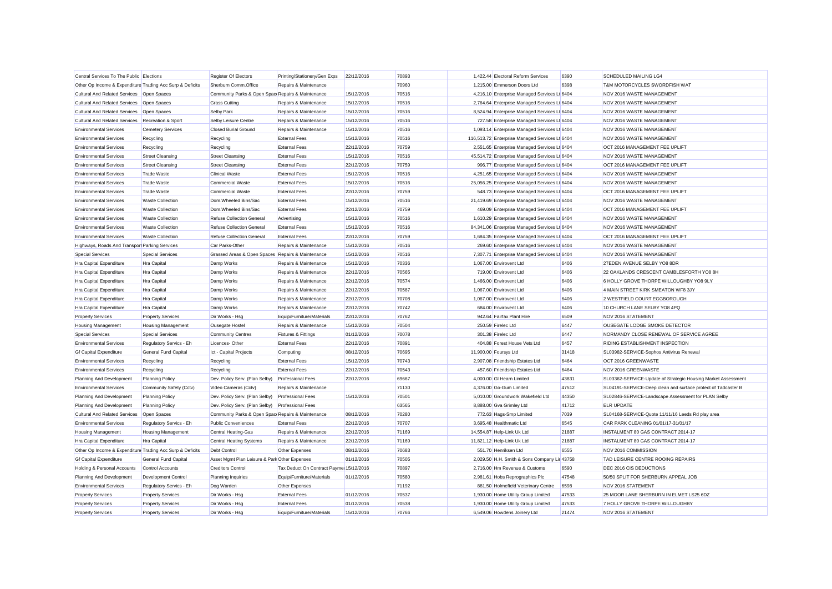| Central Services To The Public Elections<br>Register Of Electors<br>22/12/2016<br>70893<br>1,422.44 Electoral Reform Services<br>6390<br><b>SCHEDULED MAILING LG4</b><br>Printing/Stationery/Gen Exps<br>Sherburn Comm.Office<br>Repairs & Maintenance<br>70960<br>1,215.00 Emmerson Doors Ltd<br>6398<br>T&M MOTORCYCLES SWORDFISH WAT<br>Other Op Income & Expenditure Trading Acc Surp & Deficits<br>Cultural And Related Services   Open Spaces<br>Community Parks & Open Spac Repairs & Maintenance<br>15/12/2016<br>70516<br>4,216.10 Enterprise Managed Services Lt 6404<br>NOV 2016 WASTE MANAGEMENT<br><b>Cultural And Related Services</b><br>Open Spaces<br><b>Grass Cutting</b><br>Repairs & Maintenance<br>15/12/2016<br>70516<br>2,764.64 Enterprise Managed Services Lt 6404<br>NOV 2016 WASTE MANAGEMENT<br><b>Cultural And Related Services</b><br>Selby Park<br>Repairs & Maintenance<br>15/12/2016<br>70516<br>8,524.94 Enterprise Managed Services Lt 6404<br>NOV 2016 WASTE MANAGEMENT<br>Open Spaces<br><b>Cultural And Related Services</b><br>Recreation & Sport<br>Repairs & Maintenance<br>15/12/2016<br>70516<br>727.58 Enterprise Managed Services Lt 6404<br>NOV 2016 WASTE MANAGEMENT<br>Selby Leisure Centre<br>70516<br><b>Environmental Services</b><br><b>Cemetery Services</b><br><b>Closed Burial Ground</b><br>Repairs & Maintenance<br>15/12/2016<br>1,093.14 Enterprise Managed Services Lt 6404<br>NOV 2016 WASTE MANAGEMENT<br>116,513.72 Enterprise Managed Services Lt 6404<br><b>Environmental Services</b><br>Recycling<br><b>External Fees</b><br>15/12/2016<br>70516<br>NOV 2016 WASTE MANAGEMENT<br>Recycling<br>70759<br>2,551.65 Enterprise Managed Services Lt 6404<br><b>Environmental Services</b><br>Recycling<br><b>External Fees</b><br>22/12/2016<br>OCT 2016 MANAGEMENT FEE UPLIFT<br>Recycling<br>70516<br>45,514.72 Enterprise Managed Services Lt 6404<br><b>Environmental Services</b><br><b>Street Cleansing</b><br><b>Street Cleansing</b><br><b>External Fees</b><br>15/12/2016<br>NOV 2016 WASTE MANAGEMENT<br>70759<br>996.77 Enterprise Managed Services Lt 6404<br><b>Environmental Services</b><br><b>Street Cleansing</b><br><b>Street Cleansing</b><br><b>External Fees</b><br>22/12/2016<br>OCT 2016 MANAGEMENT FEE UPLIFT<br>70516<br>4,251.65 Enterprise Managed Services Lt 6404<br><b>Environmental Services</b><br><b>Trade Waste</b><br><b>Clinical Waste</b><br><b>External Fees</b><br>15/12/2016<br>NOV 2016 WASTE MANAGEMENT<br>70516<br>25,056.25 Enterprise Managed Services Lt 6404<br><b>Environmental Services</b><br><b>Trade Waste</b><br><b>Commercial Waste</b><br><b>External Fees</b><br>15/12/2016<br>NOV 2016 WASTE MANAGEMENT<br>70759<br>548.73 Enterprise Managed Services Lt 6404<br>OCT 2016 MANAGEMENT FEE UPLIFT<br><b>Environmental Services</b><br><b>Trade Waste</b><br><b>Commercial Waste</b><br><b>External Fees</b><br>22/12/2016<br>70516<br>21,419.69 Enterprise Managed Services Lt 6404<br><b>Environmental Services</b><br><b>Waste Collection</b><br>Dom.Wheeled Bins/Sac<br><b>External Fees</b><br>15/12/2016<br>NOV 2016 WASTE MANAGEMENT<br><b>Environmental Services</b><br>Dom.Wheeled Bins/Sac<br>70759<br>469.09 Enterprise Managed Services Lt 6404<br>OCT 2016 MANAGEMENT FEE UPLIFT<br><b>Waste Collection</b><br><b>External Fees</b><br>22/12/2016<br>70516<br>1,610.29 Enterprise Managed Services Lt 6404<br>NOV 2016 WASTE MANAGEMENT<br><b>Environmental Services</b><br><b>Waste Collection</b><br><b>Refuse Collection General</b><br>Advertising<br>15/12/2016<br><b>Environmental Services</b><br><b>Refuse Collection General</b><br>70516<br>84,341.06 Enterprise Managed Services Lt 6404<br><b>Waste Collection</b><br><b>External Fees</b><br>15/12/2016<br>NOV 2016 WASTE MANAGEMENT<br><b>Refuse Collection General</b><br>70759<br>1,684.35 Enterprise Managed Services Lt 6404<br>OCT 2016 MANAGEMENT FEE UPLIFT<br><b>Environmental Services</b><br><b>Waste Collection</b><br><b>External Fees</b><br>22/12/2016<br>Highways, Roads And Transpor Parking Services<br>Car Parks-Other<br>Repairs & Maintenance<br>70516<br>269.60 Enterprise Managed Services Lt 6404<br>NOV 2016 WASTE MANAGEMENT<br>15/12/2016<br>Grassed Areas & Open Spaces Repairs & Maintenance<br>15/12/2016<br>70516<br>7,307.71 Enterprise Managed Services Lt 6404<br>NOV 2016 WASTE MANAGEMENT<br><b>Special Services</b><br><b>Special Services</b><br>Hra Capital Expenditure<br>Damp Works<br>Repairs & Maintenance<br>15/12/2016<br>70336<br>1,067.00 Envirovent Ltd<br>6406<br>27EDEN AVENUE SELBY YO8 8DR<br>Hra Capital<br>Damp Works<br>Repairs & Maintenance<br>22/12/2016<br>70565<br>719.00 Envirovent Ltd<br>6406<br>22 OAKLANDS CRESCENT CAMBLESFORTH YO8 8H<br>Hra Capital Expenditure<br>Hra Capital<br>Hra Capital Expenditure<br>Hra Capital<br>Damp Works<br>Repairs & Maintenance<br>22/12/2016<br>70574<br>1,466.00 Envirovent Ltd<br>6406<br>6 HOLLY GROVE THORPE WILLOUGHBY YO8 9LY<br>70587<br>4 MAIN STREET KIRK SMEATON WF8 3JY<br><b>Hra Capital Expenditure</b><br>Hra Capital<br>Damp Works<br>Repairs & Maintenance<br>22/12/2016<br>1.067.00 Envirovent Ltd<br>6406<br>70708<br>1.067.00 Envirovent Ltd<br>6406<br>2 WESTFIELD COURT EGGBOROUGH<br><b>Hra Capital Expenditure</b><br>Hra Capital<br>Damp Works<br>Repairs & Maintenance<br>22/12/2016<br>70742<br><b>Hra Capital Expenditure</b><br>Hra Capital<br>Damp Works<br>Repairs & Maintenance<br>22/12/2016<br>684.00 Envirovent Ltd<br>6406<br>10 CHURCH LANE SELBY YO8 4PQ<br>Equip/Furniture/Materials<br>70762<br>942.64 Fairfax Plant Hire<br><b>Property Services</b><br><b>Property Services</b><br>Dir Works - Hsg<br>22/12/2016<br>6509<br>NOV 2016 STATEMENT<br>70504<br>6447<br><b>Housing Management</b><br>Housing Management<br><b>Ousegate Hostel</b><br>Repairs & Maintenance<br>15/12/2016<br>250.59 Firelec Ltd<br>OUSEGATE LODGE SMOKE DETECTOR<br><b>Special Services</b><br>70078<br>301.38 Firelec Ltd<br>6447<br>NORMANDY CLOSE RENEWAL OF SERVICE AGREE<br><b>Special Services</b><br><b>Community Centres</b><br><b>Fixtures &amp; Fittings</b><br>01/12/2016<br>70891<br>404.88 Forest House Vets Ltd<br>6457<br><b>RIDING ESTABLISHMENT INSPECTION</b><br><b>Environmental Services</b><br>Regulatory Servics - Eh<br>Licences-Other<br><b>External Fees</b><br>22/12/2016<br><b>Gf Capital Expenditure</b><br>70695<br>11,900.00 Foursys Ltd<br>31418<br>SL03982-SERVICE-Sophos Antivirus Renewal<br>General Fund Capital<br>Ict - Capital Projects<br>Computing<br>08/12/2016<br>70743<br>6464<br>OCT 2016 GREENWASTE<br><b>Environmental Services</b><br>Recycling<br>Recycling<br><b>External Fees</b><br>15/12/2016<br>2,907.08 Friendship Estates Ltd<br><b>Environmental Services</b><br><b>External Fees</b><br>70543<br>457.60 Friendship Estates Ltd<br>6464<br>NOV 2016 GREENWASTE<br>Recycling<br>Recycling<br>22/12/2016<br>69667<br>4,000.00 GI Hearn Limited<br>43831<br>SL03362-SERVICE-Update of Strategic Housing Market Assessment<br>Planning And Development<br><b>Planning Policy</b><br>Dev. Policy Serv. (Plan Selby)<br><b>Professional Fees</b><br>22/12/2016<br><b>Environmental Services</b><br>Repairs & Maintenance<br>71130<br>4,376.00 Go-Gum Limited<br>47512<br>SL04191-SERVICE-Deep clean and surface protect of Tadcaster B<br>Community Safety (Cctv)<br>Video Cameras (Cctv)<br>15/12/2016<br>70501<br>5,010.00 Groundwork Wakefield Ltd<br>44350<br>Planning And Development<br><b>Planning Policy</b><br>Dev. Policy Serv. (Plan Selby)<br><b>Professional Fees</b><br>SL02846-SERVICE-Landscape Assessment for PLAN Selby<br>63565<br>8,888.00 Gva Grimley Ltd<br>41712<br><b>ELR UPDATE</b><br>Planning And Development<br><b>Planning Policy</b><br>Dev. Policy Serv. (Plan Selby)<br><b>Professional Fees</b><br><b>Cultural And Related Services</b><br>Community Parks & Open Spac Repairs & Maintenance<br>70280<br>772.63 Hags-Smp Limited<br>7039<br>SL04168-SERVICE-Quote 11/11/16 Leeds Rd play area<br>Open Spaces<br>08/12/2016<br><b>Environmental Services</b><br><b>Public Conveniences</b><br><b>External Fees</b><br>22/12/2016<br>70707<br>3,695.48 Healthmatic Ltd<br>6545<br>CAR PARK CLEANING 01/01/17-31/01/17<br>Regulatory Servics - Eh<br><b>Housing Management</b><br><b>Central Heating-Gas</b><br>Repairs & Maintenance<br>22/12/2016<br>71169<br>14,554.87 Help-Link Uk Ltd<br>21887<br>INSTALMENT 80 GAS CONTRACT 2014-17<br>Housing Management<br>Hra Capital<br><b>Central Heating Systems</b><br>Repairs & Maintenance<br>71169<br>11,821.12 Help-Link Uk Ltd<br>21887<br>INSTALMENT 80 GAS CONTRACT 2014-17<br>Hra Capital Expenditure<br>22/12/2016<br>Other Op Income & Expenditure Trading Acc Surp & Deficits<br><b>Debt Control</b><br>Other Expenses<br>08/12/2016<br>70683<br>551.70 Henriksen Ltd<br>6555<br>NOV 2016 COMMISSION<br><b>Gf Capital Expenditure</b><br>General Fund Capital<br>Asset Mgmt Plan Leisure & Park Other Expenses<br>01/12/2016<br>70505<br>2,029.50 H.H. Smith & Sons Company Lir 43758<br>TAD LEISURE CENTRE ROOING REPAIRS<br>Holding & Personal Accounts<br><b>Control Accounts</b><br><b>Creditors Control</b><br>Tax Deduct On Contract Payme 15/12/2016<br>70897<br>2,716.00 Hm Revenue & Customs<br>6590<br>DEC 2016 CIS DEDUCTIONS<br>Planning And Development<br>Development Control<br><b>Planning Inquiries</b><br>Equip/Furniture/Materials<br>01/12/2016<br>70580<br>2,981.61 Hobs Reprographics Plc<br>47548<br>50/50 SPLIT FOR SHERBURN APPEAL JOB<br><b>Environmental Services</b><br>Regulatory Servics - Eh<br>Dog Warden<br>Other Expenses<br>71192<br>881.50 Holmefield Veterinary Centre<br>6598<br>NOV 2016 STATEMENT<br><b>Property Services</b><br><b>Property Services</b><br>Dir Works - Hsg<br><b>External Fees</b><br>01/12/2016<br>70537<br>1,930.00 Home Utility Group Limited<br>47533<br>25 MOOR LANE SHERBURN IN ELMET LS25 6DZ<br>70538<br>47533<br>7 HOLLY GROVE THORPE WILLOUGHBY<br><b>Property Services</b><br><b>Property Services</b><br>Dir Works - Hsg<br><b>External Fees</b><br>01/12/2016<br>1,930.00 Home Utility Group Limited<br>70766<br>21474<br>NOV 2016 STATEMENT<br>15/12/2016<br>6,549.06 Howdens Joinery Ltd |                          |                          |                 |                           |  |  |  |
|----------------------------------------------------------------------------------------------------------------------------------------------------------------------------------------------------------------------------------------------------------------------------------------------------------------------------------------------------------------------------------------------------------------------------------------------------------------------------------------------------------------------------------------------------------------------------------------------------------------------------------------------------------------------------------------------------------------------------------------------------------------------------------------------------------------------------------------------------------------------------------------------------------------------------------------------------------------------------------------------------------------------------------------------------------------------------------------------------------------------------------------------------------------------------------------------------------------------------------------------------------------------------------------------------------------------------------------------------------------------------------------------------------------------------------------------------------------------------------------------------------------------------------------------------------------------------------------------------------------------------------------------------------------------------------------------------------------------------------------------------------------------------------------------------------------------------------------------------------------------------------------------------------------------------------------------------------------------------------------------------------------------------------------------------------------------------------------------------------------------------------------------------------------------------------------------------------------------------------------------------------------------------------------------------------------------------------------------------------------------------------------------------------------------------------------------------------------------------------------------------------------------------------------------------------------------------------------------------------------------------------------------------------------------------------------------------------------------------------------------------------------------------------------------------------------------------------------------------------------------------------------------------------------------------------------------------------------------------------------------------------------------------------------------------------------------------------------------------------------------------------------------------------------------------------------------------------------------------------------------------------------------------------------------------------------------------------------------------------------------------------------------------------------------------------------------------------------------------------------------------------------------------------------------------------------------------------------------------------------------------------------------------------------------------------------------------------------------------------------------------------------------------------------------------------------------------------------------------------------------------------------------------------------------------------------------------------------------------------------------------------------------------------------------------------------------------------------------------------------------------------------------------------------------------------------------------------------------------------------------------------------------------------------------------------------------------------------------------------------------------------------------------------------------------------------------------------------------------------------------------------------------------------------------------------------------------------------------------------------------------------------------------------------------------------------------------------------------------------------------------------------------------------------------------------------------------------------------------------------------------------------------------------------------------------------------------------------------------------------------------------------------------------------------------------------------------------------------------------------------------------------------------------------------------------------------------------------------------------------------------------------------------------------------------------------------------------------------------------------------------------------------------------------------------------------------------------------------------------------------------------------------------------------------------------------------------------------------------------------------------------------------------------------------------------------------------------------------------------------------------------------------------------------------------------------------------------------------------------------------------------------------------------------------------------------------------------------------------------------------------------------------------------------------------------------------------------------------------------------------------------------------------------------------------------------------------------------------------------------------------------------------------------------------------------------------------------------------------------------------------------------------------------------------------------------------------------------------------------------------------------------------------------------------------------------------------------------------------------------------------------------------------------------------------------------------------------------------------------------------------------------------------------------------------------------------------------------------------------------------------------------------------------------------------------------------------------------------------------------------------------------------------------------------------------------------------------------------------------------------------------------------------------------------------------------------------------------------------------------------------------------------------------------------------------------------------------------------------------------------------------------------------------------------------------------------------------------------------------------------------------------------------------------------------------------------------------------------------------------------------------------------------------------------------------------------------------------------------------------------------------------------------------------------------------------------------------------------------------------------------------------------------------------------------------------------------------------------------------------------------------------------------------------------------------------------------------------------------------------------------------------------------------------------------------------------------------------------------------------------------------------------------------------------------------------------------------------------------------------------------------------------------------------------------------------------------------------------------------------------------------------------------------------------------------------------------------------------------------------------------------------------------------------------------------------------------------------------------------------------------------------------------------------------------------------------------------------------------------------------------------------------------------------------------------------------------------------------------------------------------------------------------------------------------------------------------------------------------------------------------------------------------------------------------------------------------------------------------------------------------------------------------------------------------------------------------------------------------------------------------------------------------------------------------------------------------------------------------------------------------------------------------------------------------------------------------------------------------------------------------------------------------------------------------------------------------------------------------------------------------------------------------------------------------------------------------------------------------------------------------------------------------------------------------------------------------------------------------------------------------------------------------------------------------------------------------------------------------------------------------------------------------------------------------------------------------------------------------------------------------------------------------------------------------------------------------------|--------------------------|--------------------------|-----------------|---------------------------|--|--|--|
|                                                                                                                                                                                                                                                                                                                                                                                                                                                                                                                                                                                                                                                                                                                                                                                                                                                                                                                                                                                                                                                                                                                                                                                                                                                                                                                                                                                                                                                                                                                                                                                                                                                                                                                                                                                                                                                                                                                                                                                                                                                                                                                                                                                                                                                                                                                                                                                                                                                                                                                                                                                                                                                                                                                                                                                                                                                                                                                                                                                                                                                                                                                                                                                                                                                                                                                                                                                                                                                                                                                                                                                                                                                                                                                                                                                                                                                                                                                                                                                                                                                                                                                                                                                                                                                                                                                                                                                                                                                                                                                                                                                                                                                                                                                                                                                                                                                                                                                                                                                                                                                                                                                                                                                                                                                                                                                                                                                                                                                                                                                                                                                                                                                                                                                                                                                                                                                                                                                                                                                                                                                                                                                                                                                                                                                                                                                                                                                                                                                                                                                                                                                                                                                                                                                                                                                                                                                                                                                                                                                                                                                                                                                                                                                                                                                                                                                                                                                                                                                                                                                                                                                                                                                                                                                                                                                                                                                                                                                                                                                                                                                                                                                                                                                                                                                                                                                                                                                                                                                                                                                                                                                                                                                                                                                                                                                                                                                                                                                                                                                                                                                                                                                                                                                                                                                                                                                                                                                                                                                                                                                                                                                                                                                                                                                                                                                                                                                                                                                                                                                                                                                                                                                                                                                                                                                                                                                                  |                          |                          |                 |                           |  |  |  |
|                                                                                                                                                                                                                                                                                                                                                                                                                                                                                                                                                                                                                                                                                                                                                                                                                                                                                                                                                                                                                                                                                                                                                                                                                                                                                                                                                                                                                                                                                                                                                                                                                                                                                                                                                                                                                                                                                                                                                                                                                                                                                                                                                                                                                                                                                                                                                                                                                                                                                                                                                                                                                                                                                                                                                                                                                                                                                                                                                                                                                                                                                                                                                                                                                                                                                                                                                                                                                                                                                                                                                                                                                                                                                                                                                                                                                                                                                                                                                                                                                                                                                                                                                                                                                                                                                                                                                                                                                                                                                                                                                                                                                                                                                                                                                                                                                                                                                                                                                                                                                                                                                                                                                                                                                                                                                                                                                                                                                                                                                                                                                                                                                                                                                                                                                                                                                                                                                                                                                                                                                                                                                                                                                                                                                                                                                                                                                                                                                                                                                                                                                                                                                                                                                                                                                                                                                                                                                                                                                                                                                                                                                                                                                                                                                                                                                                                                                                                                                                                                                                                                                                                                                                                                                                                                                                                                                                                                                                                                                                                                                                                                                                                                                                                                                                                                                                                                                                                                                                                                                                                                                                                                                                                                                                                                                                                                                                                                                                                                                                                                                                                                                                                                                                                                                                                                                                                                                                                                                                                                                                                                                                                                                                                                                                                                                                                                                                                                                                                                                                                                                                                                                                                                                                                                                                                                                                                                  |                          |                          |                 |                           |  |  |  |
|                                                                                                                                                                                                                                                                                                                                                                                                                                                                                                                                                                                                                                                                                                                                                                                                                                                                                                                                                                                                                                                                                                                                                                                                                                                                                                                                                                                                                                                                                                                                                                                                                                                                                                                                                                                                                                                                                                                                                                                                                                                                                                                                                                                                                                                                                                                                                                                                                                                                                                                                                                                                                                                                                                                                                                                                                                                                                                                                                                                                                                                                                                                                                                                                                                                                                                                                                                                                                                                                                                                                                                                                                                                                                                                                                                                                                                                                                                                                                                                                                                                                                                                                                                                                                                                                                                                                                                                                                                                                                                                                                                                                                                                                                                                                                                                                                                                                                                                                                                                                                                                                                                                                                                                                                                                                                                                                                                                                                                                                                                                                                                                                                                                                                                                                                                                                                                                                                                                                                                                                                                                                                                                                                                                                                                                                                                                                                                                                                                                                                                                                                                                                                                                                                                                                                                                                                                                                                                                                                                                                                                                                                                                                                                                                                                                                                                                                                                                                                                                                                                                                                                                                                                                                                                                                                                                                                                                                                                                                                                                                                                                                                                                                                                                                                                                                                                                                                                                                                                                                                                                                                                                                                                                                                                                                                                                                                                                                                                                                                                                                                                                                                                                                                                                                                                                                                                                                                                                                                                                                                                                                                                                                                                                                                                                                                                                                                                                                                                                                                                                                                                                                                                                                                                                                                                                                                                                                  |                          |                          |                 |                           |  |  |  |
|                                                                                                                                                                                                                                                                                                                                                                                                                                                                                                                                                                                                                                                                                                                                                                                                                                                                                                                                                                                                                                                                                                                                                                                                                                                                                                                                                                                                                                                                                                                                                                                                                                                                                                                                                                                                                                                                                                                                                                                                                                                                                                                                                                                                                                                                                                                                                                                                                                                                                                                                                                                                                                                                                                                                                                                                                                                                                                                                                                                                                                                                                                                                                                                                                                                                                                                                                                                                                                                                                                                                                                                                                                                                                                                                                                                                                                                                                                                                                                                                                                                                                                                                                                                                                                                                                                                                                                                                                                                                                                                                                                                                                                                                                                                                                                                                                                                                                                                                                                                                                                                                                                                                                                                                                                                                                                                                                                                                                                                                                                                                                                                                                                                                                                                                                                                                                                                                                                                                                                                                                                                                                                                                                                                                                                                                                                                                                                                                                                                                                                                                                                                                                                                                                                                                                                                                                                                                                                                                                                                                                                                                                                                                                                                                                                                                                                                                                                                                                                                                                                                                                                                                                                                                                                                                                                                                                                                                                                                                                                                                                                                                                                                                                                                                                                                                                                                                                                                                                                                                                                                                                                                                                                                                                                                                                                                                                                                                                                                                                                                                                                                                                                                                                                                                                                                                                                                                                                                                                                                                                                                                                                                                                                                                                                                                                                                                                                                                                                                                                                                                                                                                                                                                                                                                                                                                                                                                  |                          |                          |                 |                           |  |  |  |
|                                                                                                                                                                                                                                                                                                                                                                                                                                                                                                                                                                                                                                                                                                                                                                                                                                                                                                                                                                                                                                                                                                                                                                                                                                                                                                                                                                                                                                                                                                                                                                                                                                                                                                                                                                                                                                                                                                                                                                                                                                                                                                                                                                                                                                                                                                                                                                                                                                                                                                                                                                                                                                                                                                                                                                                                                                                                                                                                                                                                                                                                                                                                                                                                                                                                                                                                                                                                                                                                                                                                                                                                                                                                                                                                                                                                                                                                                                                                                                                                                                                                                                                                                                                                                                                                                                                                                                                                                                                                                                                                                                                                                                                                                                                                                                                                                                                                                                                                                                                                                                                                                                                                                                                                                                                                                                                                                                                                                                                                                                                                                                                                                                                                                                                                                                                                                                                                                                                                                                                                                                                                                                                                                                                                                                                                                                                                                                                                                                                                                                                                                                                                                                                                                                                                                                                                                                                                                                                                                                                                                                                                                                                                                                                                                                                                                                                                                                                                                                                                                                                                                                                                                                                                                                                                                                                                                                                                                                                                                                                                                                                                                                                                                                                                                                                                                                                                                                                                                                                                                                                                                                                                                                                                                                                                                                                                                                                                                                                                                                                                                                                                                                                                                                                                                                                                                                                                                                                                                                                                                                                                                                                                                                                                                                                                                                                                                                                                                                                                                                                                                                                                                                                                                                                                                                                                                                                                  |                          |                          |                 |                           |  |  |  |
|                                                                                                                                                                                                                                                                                                                                                                                                                                                                                                                                                                                                                                                                                                                                                                                                                                                                                                                                                                                                                                                                                                                                                                                                                                                                                                                                                                                                                                                                                                                                                                                                                                                                                                                                                                                                                                                                                                                                                                                                                                                                                                                                                                                                                                                                                                                                                                                                                                                                                                                                                                                                                                                                                                                                                                                                                                                                                                                                                                                                                                                                                                                                                                                                                                                                                                                                                                                                                                                                                                                                                                                                                                                                                                                                                                                                                                                                                                                                                                                                                                                                                                                                                                                                                                                                                                                                                                                                                                                                                                                                                                                                                                                                                                                                                                                                                                                                                                                                                                                                                                                                                                                                                                                                                                                                                                                                                                                                                                                                                                                                                                                                                                                                                                                                                                                                                                                                                                                                                                                                                                                                                                                                                                                                                                                                                                                                                                                                                                                                                                                                                                                                                                                                                                                                                                                                                                                                                                                                                                                                                                                                                                                                                                                                                                                                                                                                                                                                                                                                                                                                                                                                                                                                                                                                                                                                                                                                                                                                                                                                                                                                                                                                                                                                                                                                                                                                                                                                                                                                                                                                                                                                                                                                                                                                                                                                                                                                                                                                                                                                                                                                                                                                                                                                                                                                                                                                                                                                                                                                                                                                                                                                                                                                                                                                                                                                                                                                                                                                                                                                                                                                                                                                                                                                                                                                                                                                  |                          |                          |                 |                           |  |  |  |
|                                                                                                                                                                                                                                                                                                                                                                                                                                                                                                                                                                                                                                                                                                                                                                                                                                                                                                                                                                                                                                                                                                                                                                                                                                                                                                                                                                                                                                                                                                                                                                                                                                                                                                                                                                                                                                                                                                                                                                                                                                                                                                                                                                                                                                                                                                                                                                                                                                                                                                                                                                                                                                                                                                                                                                                                                                                                                                                                                                                                                                                                                                                                                                                                                                                                                                                                                                                                                                                                                                                                                                                                                                                                                                                                                                                                                                                                                                                                                                                                                                                                                                                                                                                                                                                                                                                                                                                                                                                                                                                                                                                                                                                                                                                                                                                                                                                                                                                                                                                                                                                                                                                                                                                                                                                                                                                                                                                                                                                                                                                                                                                                                                                                                                                                                                                                                                                                                                                                                                                                                                                                                                                                                                                                                                                                                                                                                                                                                                                                                                                                                                                                                                                                                                                                                                                                                                                                                                                                                                                                                                                                                                                                                                                                                                                                                                                                                                                                                                                                                                                                                                                                                                                                                                                                                                                                                                                                                                                                                                                                                                                                                                                                                                                                                                                                                                                                                                                                                                                                                                                                                                                                                                                                                                                                                                                                                                                                                                                                                                                                                                                                                                                                                                                                                                                                                                                                                                                                                                                                                                                                                                                                                                                                                                                                                                                                                                                                                                                                                                                                                                                                                                                                                                                                                                                                                                                                  |                          |                          |                 |                           |  |  |  |
|                                                                                                                                                                                                                                                                                                                                                                                                                                                                                                                                                                                                                                                                                                                                                                                                                                                                                                                                                                                                                                                                                                                                                                                                                                                                                                                                                                                                                                                                                                                                                                                                                                                                                                                                                                                                                                                                                                                                                                                                                                                                                                                                                                                                                                                                                                                                                                                                                                                                                                                                                                                                                                                                                                                                                                                                                                                                                                                                                                                                                                                                                                                                                                                                                                                                                                                                                                                                                                                                                                                                                                                                                                                                                                                                                                                                                                                                                                                                                                                                                                                                                                                                                                                                                                                                                                                                                                                                                                                                                                                                                                                                                                                                                                                                                                                                                                                                                                                                                                                                                                                                                                                                                                                                                                                                                                                                                                                                                                                                                                                                                                                                                                                                                                                                                                                                                                                                                                                                                                                                                                                                                                                                                                                                                                                                                                                                                                                                                                                                                                                                                                                                                                                                                                                                                                                                                                                                                                                                                                                                                                                                                                                                                                                                                                                                                                                                                                                                                                                                                                                                                                                                                                                                                                                                                                                                                                                                                                                                                                                                                                                                                                                                                                                                                                                                                                                                                                                                                                                                                                                                                                                                                                                                                                                                                                                                                                                                                                                                                                                                                                                                                                                                                                                                                                                                                                                                                                                                                                                                                                                                                                                                                                                                                                                                                                                                                                                                                                                                                                                                                                                                                                                                                                                                                                                                                                                                  |                          |                          |                 |                           |  |  |  |
|                                                                                                                                                                                                                                                                                                                                                                                                                                                                                                                                                                                                                                                                                                                                                                                                                                                                                                                                                                                                                                                                                                                                                                                                                                                                                                                                                                                                                                                                                                                                                                                                                                                                                                                                                                                                                                                                                                                                                                                                                                                                                                                                                                                                                                                                                                                                                                                                                                                                                                                                                                                                                                                                                                                                                                                                                                                                                                                                                                                                                                                                                                                                                                                                                                                                                                                                                                                                                                                                                                                                                                                                                                                                                                                                                                                                                                                                                                                                                                                                                                                                                                                                                                                                                                                                                                                                                                                                                                                                                                                                                                                                                                                                                                                                                                                                                                                                                                                                                                                                                                                                                                                                                                                                                                                                                                                                                                                                                                                                                                                                                                                                                                                                                                                                                                                                                                                                                                                                                                                                                                                                                                                                                                                                                                                                                                                                                                                                                                                                                                                                                                                                                                                                                                                                                                                                                                                                                                                                                                                                                                                                                                                                                                                                                                                                                                                                                                                                                                                                                                                                                                                                                                                                                                                                                                                                                                                                                                                                                                                                                                                                                                                                                                                                                                                                                                                                                                                                                                                                                                                                                                                                                                                                                                                                                                                                                                                                                                                                                                                                                                                                                                                                                                                                                                                                                                                                                                                                                                                                                                                                                                                                                                                                                                                                                                                                                                                                                                                                                                                                                                                                                                                                                                                                                                                                                                                                  |                          |                          |                 |                           |  |  |  |
|                                                                                                                                                                                                                                                                                                                                                                                                                                                                                                                                                                                                                                                                                                                                                                                                                                                                                                                                                                                                                                                                                                                                                                                                                                                                                                                                                                                                                                                                                                                                                                                                                                                                                                                                                                                                                                                                                                                                                                                                                                                                                                                                                                                                                                                                                                                                                                                                                                                                                                                                                                                                                                                                                                                                                                                                                                                                                                                                                                                                                                                                                                                                                                                                                                                                                                                                                                                                                                                                                                                                                                                                                                                                                                                                                                                                                                                                                                                                                                                                                                                                                                                                                                                                                                                                                                                                                                                                                                                                                                                                                                                                                                                                                                                                                                                                                                                                                                                                                                                                                                                                                                                                                                                                                                                                                                                                                                                                                                                                                                                                                                                                                                                                                                                                                                                                                                                                                                                                                                                                                                                                                                                                                                                                                                                                                                                                                                                                                                                                                                                                                                                                                                                                                                                                                                                                                                                                                                                                                                                                                                                                                                                                                                                                                                                                                                                                                                                                                                                                                                                                                                                                                                                                                                                                                                                                                                                                                                                                                                                                                                                                                                                                                                                                                                                                                                                                                                                                                                                                                                                                                                                                                                                                                                                                                                                                                                                                                                                                                                                                                                                                                                                                                                                                                                                                                                                                                                                                                                                                                                                                                                                                                                                                                                                                                                                                                                                                                                                                                                                                                                                                                                                                                                                                                                                                                                                                  |                          |                          |                 |                           |  |  |  |
|                                                                                                                                                                                                                                                                                                                                                                                                                                                                                                                                                                                                                                                                                                                                                                                                                                                                                                                                                                                                                                                                                                                                                                                                                                                                                                                                                                                                                                                                                                                                                                                                                                                                                                                                                                                                                                                                                                                                                                                                                                                                                                                                                                                                                                                                                                                                                                                                                                                                                                                                                                                                                                                                                                                                                                                                                                                                                                                                                                                                                                                                                                                                                                                                                                                                                                                                                                                                                                                                                                                                                                                                                                                                                                                                                                                                                                                                                                                                                                                                                                                                                                                                                                                                                                                                                                                                                                                                                                                                                                                                                                                                                                                                                                                                                                                                                                                                                                                                                                                                                                                                                                                                                                                                                                                                                                                                                                                                                                                                                                                                                                                                                                                                                                                                                                                                                                                                                                                                                                                                                                                                                                                                                                                                                                                                                                                                                                                                                                                                                                                                                                                                                                                                                                                                                                                                                                                                                                                                                                                                                                                                                                                                                                                                                                                                                                                                                                                                                                                                                                                                                                                                                                                                                                                                                                                                                                                                                                                                                                                                                                                                                                                                                                                                                                                                                                                                                                                                                                                                                                                                                                                                                                                                                                                                                                                                                                                                                                                                                                                                                                                                                                                                                                                                                                                                                                                                                                                                                                                                                                                                                                                                                                                                                                                                                                                                                                                                                                                                                                                                                                                                                                                                                                                                                                                                                                                                  |                          |                          |                 |                           |  |  |  |
|                                                                                                                                                                                                                                                                                                                                                                                                                                                                                                                                                                                                                                                                                                                                                                                                                                                                                                                                                                                                                                                                                                                                                                                                                                                                                                                                                                                                                                                                                                                                                                                                                                                                                                                                                                                                                                                                                                                                                                                                                                                                                                                                                                                                                                                                                                                                                                                                                                                                                                                                                                                                                                                                                                                                                                                                                                                                                                                                                                                                                                                                                                                                                                                                                                                                                                                                                                                                                                                                                                                                                                                                                                                                                                                                                                                                                                                                                                                                                                                                                                                                                                                                                                                                                                                                                                                                                                                                                                                                                                                                                                                                                                                                                                                                                                                                                                                                                                                                                                                                                                                                                                                                                                                                                                                                                                                                                                                                                                                                                                                                                                                                                                                                                                                                                                                                                                                                                                                                                                                                                                                                                                                                                                                                                                                                                                                                                                                                                                                                                                                                                                                                                                                                                                                                                                                                                                                                                                                                                                                                                                                                                                                                                                                                                                                                                                                                                                                                                                                                                                                                                                                                                                                                                                                                                                                                                                                                                                                                                                                                                                                                                                                                                                                                                                                                                                                                                                                                                                                                                                                                                                                                                                                                                                                                                                                                                                                                                                                                                                                                                                                                                                                                                                                                                                                                                                                                                                                                                                                                                                                                                                                                                                                                                                                                                                                                                                                                                                                                                                                                                                                                                                                                                                                                                                                                                                                                  |                          |                          |                 |                           |  |  |  |
|                                                                                                                                                                                                                                                                                                                                                                                                                                                                                                                                                                                                                                                                                                                                                                                                                                                                                                                                                                                                                                                                                                                                                                                                                                                                                                                                                                                                                                                                                                                                                                                                                                                                                                                                                                                                                                                                                                                                                                                                                                                                                                                                                                                                                                                                                                                                                                                                                                                                                                                                                                                                                                                                                                                                                                                                                                                                                                                                                                                                                                                                                                                                                                                                                                                                                                                                                                                                                                                                                                                                                                                                                                                                                                                                                                                                                                                                                                                                                                                                                                                                                                                                                                                                                                                                                                                                                                                                                                                                                                                                                                                                                                                                                                                                                                                                                                                                                                                                                                                                                                                                                                                                                                                                                                                                                                                                                                                                                                                                                                                                                                                                                                                                                                                                                                                                                                                                                                                                                                                                                                                                                                                                                                                                                                                                                                                                                                                                                                                                                                                                                                                                                                                                                                                                                                                                                                                                                                                                                                                                                                                                                                                                                                                                                                                                                                                                                                                                                                                                                                                                                                                                                                                                                                                                                                                                                                                                                                                                                                                                                                                                                                                                                                                                                                                                                                                                                                                                                                                                                                                                                                                                                                                                                                                                                                                                                                                                                                                                                                                                                                                                                                                                                                                                                                                                                                                                                                                                                                                                                                                                                                                                                                                                                                                                                                                                                                                                                                                                                                                                                                                                                                                                                                                                                                                                                                                                  |                          |                          |                 |                           |  |  |  |
|                                                                                                                                                                                                                                                                                                                                                                                                                                                                                                                                                                                                                                                                                                                                                                                                                                                                                                                                                                                                                                                                                                                                                                                                                                                                                                                                                                                                                                                                                                                                                                                                                                                                                                                                                                                                                                                                                                                                                                                                                                                                                                                                                                                                                                                                                                                                                                                                                                                                                                                                                                                                                                                                                                                                                                                                                                                                                                                                                                                                                                                                                                                                                                                                                                                                                                                                                                                                                                                                                                                                                                                                                                                                                                                                                                                                                                                                                                                                                                                                                                                                                                                                                                                                                                                                                                                                                                                                                                                                                                                                                                                                                                                                                                                                                                                                                                                                                                                                                                                                                                                                                                                                                                                                                                                                                                                                                                                                                                                                                                                                                                                                                                                                                                                                                                                                                                                                                                                                                                                                                                                                                                                                                                                                                                                                                                                                                                                                                                                                                                                                                                                                                                                                                                                                                                                                                                                                                                                                                                                                                                                                                                                                                                                                                                                                                                                                                                                                                                                                                                                                                                                                                                                                                                                                                                                                                                                                                                                                                                                                                                                                                                                                                                                                                                                                                                                                                                                                                                                                                                                                                                                                                                                                                                                                                                                                                                                                                                                                                                                                                                                                                                                                                                                                                                                                                                                                                                                                                                                                                                                                                                                                                                                                                                                                                                                                                                                                                                                                                                                                                                                                                                                                                                                                                                                                                                                                  |                          |                          |                 |                           |  |  |  |
|                                                                                                                                                                                                                                                                                                                                                                                                                                                                                                                                                                                                                                                                                                                                                                                                                                                                                                                                                                                                                                                                                                                                                                                                                                                                                                                                                                                                                                                                                                                                                                                                                                                                                                                                                                                                                                                                                                                                                                                                                                                                                                                                                                                                                                                                                                                                                                                                                                                                                                                                                                                                                                                                                                                                                                                                                                                                                                                                                                                                                                                                                                                                                                                                                                                                                                                                                                                                                                                                                                                                                                                                                                                                                                                                                                                                                                                                                                                                                                                                                                                                                                                                                                                                                                                                                                                                                                                                                                                                                                                                                                                                                                                                                                                                                                                                                                                                                                                                                                                                                                                                                                                                                                                                                                                                                                                                                                                                                                                                                                                                                                                                                                                                                                                                                                                                                                                                                                                                                                                                                                                                                                                                                                                                                                                                                                                                                                                                                                                                                                                                                                                                                                                                                                                                                                                                                                                                                                                                                                                                                                                                                                                                                                                                                                                                                                                                                                                                                                                                                                                                                                                                                                                                                                                                                                                                                                                                                                                                                                                                                                                                                                                                                                                                                                                                                                                                                                                                                                                                                                                                                                                                                                                                                                                                                                                                                                                                                                                                                                                                                                                                                                                                                                                                                                                                                                                                                                                                                                                                                                                                                                                                                                                                                                                                                                                                                                                                                                                                                                                                                                                                                                                                                                                                                                                                                                                                  |                          |                          |                 |                           |  |  |  |
|                                                                                                                                                                                                                                                                                                                                                                                                                                                                                                                                                                                                                                                                                                                                                                                                                                                                                                                                                                                                                                                                                                                                                                                                                                                                                                                                                                                                                                                                                                                                                                                                                                                                                                                                                                                                                                                                                                                                                                                                                                                                                                                                                                                                                                                                                                                                                                                                                                                                                                                                                                                                                                                                                                                                                                                                                                                                                                                                                                                                                                                                                                                                                                                                                                                                                                                                                                                                                                                                                                                                                                                                                                                                                                                                                                                                                                                                                                                                                                                                                                                                                                                                                                                                                                                                                                                                                                                                                                                                                                                                                                                                                                                                                                                                                                                                                                                                                                                                                                                                                                                                                                                                                                                                                                                                                                                                                                                                                                                                                                                                                                                                                                                                                                                                                                                                                                                                                                                                                                                                                                                                                                                                                                                                                                                                                                                                                                                                                                                                                                                                                                                                                                                                                                                                                                                                                                                                                                                                                                                                                                                                                                                                                                                                                                                                                                                                                                                                                                                                                                                                                                                                                                                                                                                                                                                                                                                                                                                                                                                                                                                                                                                                                                                                                                                                                                                                                                                                                                                                                                                                                                                                                                                                                                                                                                                                                                                                                                                                                                                                                                                                                                                                                                                                                                                                                                                                                                                                                                                                                                                                                                                                                                                                                                                                                                                                                                                                                                                                                                                                                                                                                                                                                                                                                                                                                                                                  |                          |                          |                 |                           |  |  |  |
|                                                                                                                                                                                                                                                                                                                                                                                                                                                                                                                                                                                                                                                                                                                                                                                                                                                                                                                                                                                                                                                                                                                                                                                                                                                                                                                                                                                                                                                                                                                                                                                                                                                                                                                                                                                                                                                                                                                                                                                                                                                                                                                                                                                                                                                                                                                                                                                                                                                                                                                                                                                                                                                                                                                                                                                                                                                                                                                                                                                                                                                                                                                                                                                                                                                                                                                                                                                                                                                                                                                                                                                                                                                                                                                                                                                                                                                                                                                                                                                                                                                                                                                                                                                                                                                                                                                                                                                                                                                                                                                                                                                                                                                                                                                                                                                                                                                                                                                                                                                                                                                                                                                                                                                                                                                                                                                                                                                                                                                                                                                                                                                                                                                                                                                                                                                                                                                                                                                                                                                                                                                                                                                                                                                                                                                                                                                                                                                                                                                                                                                                                                                                                                                                                                                                                                                                                                                                                                                                                                                                                                                                                                                                                                                                                                                                                                                                                                                                                                                                                                                                                                                                                                                                                                                                                                                                                                                                                                                                                                                                                                                                                                                                                                                                                                                                                                                                                                                                                                                                                                                                                                                                                                                                                                                                                                                                                                                                                                                                                                                                                                                                                                                                                                                                                                                                                                                                                                                                                                                                                                                                                                                                                                                                                                                                                                                                                                                                                                                                                                                                                                                                                                                                                                                                                                                                                                                                  |                          |                          |                 |                           |  |  |  |
|                                                                                                                                                                                                                                                                                                                                                                                                                                                                                                                                                                                                                                                                                                                                                                                                                                                                                                                                                                                                                                                                                                                                                                                                                                                                                                                                                                                                                                                                                                                                                                                                                                                                                                                                                                                                                                                                                                                                                                                                                                                                                                                                                                                                                                                                                                                                                                                                                                                                                                                                                                                                                                                                                                                                                                                                                                                                                                                                                                                                                                                                                                                                                                                                                                                                                                                                                                                                                                                                                                                                                                                                                                                                                                                                                                                                                                                                                                                                                                                                                                                                                                                                                                                                                                                                                                                                                                                                                                                                                                                                                                                                                                                                                                                                                                                                                                                                                                                                                                                                                                                                                                                                                                                                                                                                                                                                                                                                                                                                                                                                                                                                                                                                                                                                                                                                                                                                                                                                                                                                                                                                                                                                                                                                                                                                                                                                                                                                                                                                                                                                                                                                                                                                                                                                                                                                                                                                                                                                                                                                                                                                                                                                                                                                                                                                                                                                                                                                                                                                                                                                                                                                                                                                                                                                                                                                                                                                                                                                                                                                                                                                                                                                                                                                                                                                                                                                                                                                                                                                                                                                                                                                                                                                                                                                                                                                                                                                                                                                                                                                                                                                                                                                                                                                                                                                                                                                                                                                                                                                                                                                                                                                                                                                                                                                                                                                                                                                                                                                                                                                                                                                                                                                                                                                                                                                                                                                  |                          |                          |                 |                           |  |  |  |
|                                                                                                                                                                                                                                                                                                                                                                                                                                                                                                                                                                                                                                                                                                                                                                                                                                                                                                                                                                                                                                                                                                                                                                                                                                                                                                                                                                                                                                                                                                                                                                                                                                                                                                                                                                                                                                                                                                                                                                                                                                                                                                                                                                                                                                                                                                                                                                                                                                                                                                                                                                                                                                                                                                                                                                                                                                                                                                                                                                                                                                                                                                                                                                                                                                                                                                                                                                                                                                                                                                                                                                                                                                                                                                                                                                                                                                                                                                                                                                                                                                                                                                                                                                                                                                                                                                                                                                                                                                                                                                                                                                                                                                                                                                                                                                                                                                                                                                                                                                                                                                                                                                                                                                                                                                                                                                                                                                                                                                                                                                                                                                                                                                                                                                                                                                                                                                                                                                                                                                                                                                                                                                                                                                                                                                                                                                                                                                                                                                                                                                                                                                                                                                                                                                                                                                                                                                                                                                                                                                                                                                                                                                                                                                                                                                                                                                                                                                                                                                                                                                                                                                                                                                                                                                                                                                                                                                                                                                                                                                                                                                                                                                                                                                                                                                                                                                                                                                                                                                                                                                                                                                                                                                                                                                                                                                                                                                                                                                                                                                                                                                                                                                                                                                                                                                                                                                                                                                                                                                                                                                                                                                                                                                                                                                                                                                                                                                                                                                                                                                                                                                                                                                                                                                                                                                                                                                                                  |                          |                          |                 |                           |  |  |  |
|                                                                                                                                                                                                                                                                                                                                                                                                                                                                                                                                                                                                                                                                                                                                                                                                                                                                                                                                                                                                                                                                                                                                                                                                                                                                                                                                                                                                                                                                                                                                                                                                                                                                                                                                                                                                                                                                                                                                                                                                                                                                                                                                                                                                                                                                                                                                                                                                                                                                                                                                                                                                                                                                                                                                                                                                                                                                                                                                                                                                                                                                                                                                                                                                                                                                                                                                                                                                                                                                                                                                                                                                                                                                                                                                                                                                                                                                                                                                                                                                                                                                                                                                                                                                                                                                                                                                                                                                                                                                                                                                                                                                                                                                                                                                                                                                                                                                                                                                                                                                                                                                                                                                                                                                                                                                                                                                                                                                                                                                                                                                                                                                                                                                                                                                                                                                                                                                                                                                                                                                                                                                                                                                                                                                                                                                                                                                                                                                                                                                                                                                                                                                                                                                                                                                                                                                                                                                                                                                                                                                                                                                                                                                                                                                                                                                                                                                                                                                                                                                                                                                                                                                                                                                                                                                                                                                                                                                                                                                                                                                                                                                                                                                                                                                                                                                                                                                                                                                                                                                                                                                                                                                                                                                                                                                                                                                                                                                                                                                                                                                                                                                                                                                                                                                                                                                                                                                                                                                                                                                                                                                                                                                                                                                                                                                                                                                                                                                                                                                                                                                                                                                                                                                                                                                                                                                                                                                  |                          |                          |                 |                           |  |  |  |
|                                                                                                                                                                                                                                                                                                                                                                                                                                                                                                                                                                                                                                                                                                                                                                                                                                                                                                                                                                                                                                                                                                                                                                                                                                                                                                                                                                                                                                                                                                                                                                                                                                                                                                                                                                                                                                                                                                                                                                                                                                                                                                                                                                                                                                                                                                                                                                                                                                                                                                                                                                                                                                                                                                                                                                                                                                                                                                                                                                                                                                                                                                                                                                                                                                                                                                                                                                                                                                                                                                                                                                                                                                                                                                                                                                                                                                                                                                                                                                                                                                                                                                                                                                                                                                                                                                                                                                                                                                                                                                                                                                                                                                                                                                                                                                                                                                                                                                                                                                                                                                                                                                                                                                                                                                                                                                                                                                                                                                                                                                                                                                                                                                                                                                                                                                                                                                                                                                                                                                                                                                                                                                                                                                                                                                                                                                                                                                                                                                                                                                                                                                                                                                                                                                                                                                                                                                                                                                                                                                                                                                                                                                                                                                                                                                                                                                                                                                                                                                                                                                                                                                                                                                                                                                                                                                                                                                                                                                                                                                                                                                                                                                                                                                                                                                                                                                                                                                                                                                                                                                                                                                                                                                                                                                                                                                                                                                                                                                                                                                                                                                                                                                                                                                                                                                                                                                                                                                                                                                                                                                                                                                                                                                                                                                                                                                                                                                                                                                                                                                                                                                                                                                                                                                                                                                                                                                                                  |                          |                          |                 |                           |  |  |  |
|                                                                                                                                                                                                                                                                                                                                                                                                                                                                                                                                                                                                                                                                                                                                                                                                                                                                                                                                                                                                                                                                                                                                                                                                                                                                                                                                                                                                                                                                                                                                                                                                                                                                                                                                                                                                                                                                                                                                                                                                                                                                                                                                                                                                                                                                                                                                                                                                                                                                                                                                                                                                                                                                                                                                                                                                                                                                                                                                                                                                                                                                                                                                                                                                                                                                                                                                                                                                                                                                                                                                                                                                                                                                                                                                                                                                                                                                                                                                                                                                                                                                                                                                                                                                                                                                                                                                                                                                                                                                                                                                                                                                                                                                                                                                                                                                                                                                                                                                                                                                                                                                                                                                                                                                                                                                                                                                                                                                                                                                                                                                                                                                                                                                                                                                                                                                                                                                                                                                                                                                                                                                                                                                                                                                                                                                                                                                                                                                                                                                                                                                                                                                                                                                                                                                                                                                                                                                                                                                                                                                                                                                                                                                                                                                                                                                                                                                                                                                                                                                                                                                                                                                                                                                                                                                                                                                                                                                                                                                                                                                                                                                                                                                                                                                                                                                                                                                                                                                                                                                                                                                                                                                                                                                                                                                                                                                                                                                                                                                                                                                                                                                                                                                                                                                                                                                                                                                                                                                                                                                                                                                                                                                                                                                                                                                                                                                                                                                                                                                                                                                                                                                                                                                                                                                                                                                                                                                  |                          |                          |                 |                           |  |  |  |
|                                                                                                                                                                                                                                                                                                                                                                                                                                                                                                                                                                                                                                                                                                                                                                                                                                                                                                                                                                                                                                                                                                                                                                                                                                                                                                                                                                                                                                                                                                                                                                                                                                                                                                                                                                                                                                                                                                                                                                                                                                                                                                                                                                                                                                                                                                                                                                                                                                                                                                                                                                                                                                                                                                                                                                                                                                                                                                                                                                                                                                                                                                                                                                                                                                                                                                                                                                                                                                                                                                                                                                                                                                                                                                                                                                                                                                                                                                                                                                                                                                                                                                                                                                                                                                                                                                                                                                                                                                                                                                                                                                                                                                                                                                                                                                                                                                                                                                                                                                                                                                                                                                                                                                                                                                                                                                                                                                                                                                                                                                                                                                                                                                                                                                                                                                                                                                                                                                                                                                                                                                                                                                                                                                                                                                                                                                                                                                                                                                                                                                                                                                                                                                                                                                                                                                                                                                                                                                                                                                                                                                                                                                                                                                                                                                                                                                                                                                                                                                                                                                                                                                                                                                                                                                                                                                                                                                                                                                                                                                                                                                                                                                                                                                                                                                                                                                                                                                                                                                                                                                                                                                                                                                                                                                                                                                                                                                                                                                                                                                                                                                                                                                                                                                                                                                                                                                                                                                                                                                                                                                                                                                                                                                                                                                                                                                                                                                                                                                                                                                                                                                                                                                                                                                                                                                                                                                                                  |                          |                          |                 |                           |  |  |  |
|                                                                                                                                                                                                                                                                                                                                                                                                                                                                                                                                                                                                                                                                                                                                                                                                                                                                                                                                                                                                                                                                                                                                                                                                                                                                                                                                                                                                                                                                                                                                                                                                                                                                                                                                                                                                                                                                                                                                                                                                                                                                                                                                                                                                                                                                                                                                                                                                                                                                                                                                                                                                                                                                                                                                                                                                                                                                                                                                                                                                                                                                                                                                                                                                                                                                                                                                                                                                                                                                                                                                                                                                                                                                                                                                                                                                                                                                                                                                                                                                                                                                                                                                                                                                                                                                                                                                                                                                                                                                                                                                                                                                                                                                                                                                                                                                                                                                                                                                                                                                                                                                                                                                                                                                                                                                                                                                                                                                                                                                                                                                                                                                                                                                                                                                                                                                                                                                                                                                                                                                                                                                                                                                                                                                                                                                                                                                                                                                                                                                                                                                                                                                                                                                                                                                                                                                                                                                                                                                                                                                                                                                                                                                                                                                                                                                                                                                                                                                                                                                                                                                                                                                                                                                                                                                                                                                                                                                                                                                                                                                                                                                                                                                                                                                                                                                                                                                                                                                                                                                                                                                                                                                                                                                                                                                                                                                                                                                                                                                                                                                                                                                                                                                                                                                                                                                                                                                                                                                                                                                                                                                                                                                                                                                                                                                                                                                                                                                                                                                                                                                                                                                                                                                                                                                                                                                                                                                  |                          |                          |                 |                           |  |  |  |
|                                                                                                                                                                                                                                                                                                                                                                                                                                                                                                                                                                                                                                                                                                                                                                                                                                                                                                                                                                                                                                                                                                                                                                                                                                                                                                                                                                                                                                                                                                                                                                                                                                                                                                                                                                                                                                                                                                                                                                                                                                                                                                                                                                                                                                                                                                                                                                                                                                                                                                                                                                                                                                                                                                                                                                                                                                                                                                                                                                                                                                                                                                                                                                                                                                                                                                                                                                                                                                                                                                                                                                                                                                                                                                                                                                                                                                                                                                                                                                                                                                                                                                                                                                                                                                                                                                                                                                                                                                                                                                                                                                                                                                                                                                                                                                                                                                                                                                                                                                                                                                                                                                                                                                                                                                                                                                                                                                                                                                                                                                                                                                                                                                                                                                                                                                                                                                                                                                                                                                                                                                                                                                                                                                                                                                                                                                                                                                                                                                                                                                                                                                                                                                                                                                                                                                                                                                                                                                                                                                                                                                                                                                                                                                                                                                                                                                                                                                                                                                                                                                                                                                                                                                                                                                                                                                                                                                                                                                                                                                                                                                                                                                                                                                                                                                                                                                                                                                                                                                                                                                                                                                                                                                                                                                                                                                                                                                                                                                                                                                                                                                                                                                                                                                                                                                                                                                                                                                                                                                                                                                                                                                                                                                                                                                                                                                                                                                                                                                                                                                                                                                                                                                                                                                                                                                                                                                                                  |                          |                          |                 |                           |  |  |  |
|                                                                                                                                                                                                                                                                                                                                                                                                                                                                                                                                                                                                                                                                                                                                                                                                                                                                                                                                                                                                                                                                                                                                                                                                                                                                                                                                                                                                                                                                                                                                                                                                                                                                                                                                                                                                                                                                                                                                                                                                                                                                                                                                                                                                                                                                                                                                                                                                                                                                                                                                                                                                                                                                                                                                                                                                                                                                                                                                                                                                                                                                                                                                                                                                                                                                                                                                                                                                                                                                                                                                                                                                                                                                                                                                                                                                                                                                                                                                                                                                                                                                                                                                                                                                                                                                                                                                                                                                                                                                                                                                                                                                                                                                                                                                                                                                                                                                                                                                                                                                                                                                                                                                                                                                                                                                                                                                                                                                                                                                                                                                                                                                                                                                                                                                                                                                                                                                                                                                                                                                                                                                                                                                                                                                                                                                                                                                                                                                                                                                                                                                                                                                                                                                                                                                                                                                                                                                                                                                                                                                                                                                                                                                                                                                                                                                                                                                                                                                                                                                                                                                                                                                                                                                                                                                                                                                                                                                                                                                                                                                                                                                                                                                                                                                                                                                                                                                                                                                                                                                                                                                                                                                                                                                                                                                                                                                                                                                                                                                                                                                                                                                                                                                                                                                                                                                                                                                                                                                                                                                                                                                                                                                                                                                                                                                                                                                                                                                                                                                                                                                                                                                                                                                                                                                                                                                                                                                  |                          |                          |                 |                           |  |  |  |
|                                                                                                                                                                                                                                                                                                                                                                                                                                                                                                                                                                                                                                                                                                                                                                                                                                                                                                                                                                                                                                                                                                                                                                                                                                                                                                                                                                                                                                                                                                                                                                                                                                                                                                                                                                                                                                                                                                                                                                                                                                                                                                                                                                                                                                                                                                                                                                                                                                                                                                                                                                                                                                                                                                                                                                                                                                                                                                                                                                                                                                                                                                                                                                                                                                                                                                                                                                                                                                                                                                                                                                                                                                                                                                                                                                                                                                                                                                                                                                                                                                                                                                                                                                                                                                                                                                                                                                                                                                                                                                                                                                                                                                                                                                                                                                                                                                                                                                                                                                                                                                                                                                                                                                                                                                                                                                                                                                                                                                                                                                                                                                                                                                                                                                                                                                                                                                                                                                                                                                                                                                                                                                                                                                                                                                                                                                                                                                                                                                                                                                                                                                                                                                                                                                                                                                                                                                                                                                                                                                                                                                                                                                                                                                                                                                                                                                                                                                                                                                                                                                                                                                                                                                                                                                                                                                                                                                                                                                                                                                                                                                                                                                                                                                                                                                                                                                                                                                                                                                                                                                                                                                                                                                                                                                                                                                                                                                                                                                                                                                                                                                                                                                                                                                                                                                                                                                                                                                                                                                                                                                                                                                                                                                                                                                                                                                                                                                                                                                                                                                                                                                                                                                                                                                                                                                                                                                                                  |                          |                          |                 |                           |  |  |  |
|                                                                                                                                                                                                                                                                                                                                                                                                                                                                                                                                                                                                                                                                                                                                                                                                                                                                                                                                                                                                                                                                                                                                                                                                                                                                                                                                                                                                                                                                                                                                                                                                                                                                                                                                                                                                                                                                                                                                                                                                                                                                                                                                                                                                                                                                                                                                                                                                                                                                                                                                                                                                                                                                                                                                                                                                                                                                                                                                                                                                                                                                                                                                                                                                                                                                                                                                                                                                                                                                                                                                                                                                                                                                                                                                                                                                                                                                                                                                                                                                                                                                                                                                                                                                                                                                                                                                                                                                                                                                                                                                                                                                                                                                                                                                                                                                                                                                                                                                                                                                                                                                                                                                                                                                                                                                                                                                                                                                                                                                                                                                                                                                                                                                                                                                                                                                                                                                                                                                                                                                                                                                                                                                                                                                                                                                                                                                                                                                                                                                                                                                                                                                                                                                                                                                                                                                                                                                                                                                                                                                                                                                                                                                                                                                                                                                                                                                                                                                                                                                                                                                                                                                                                                                                                                                                                                                                                                                                                                                                                                                                                                                                                                                                                                                                                                                                                                                                                                                                                                                                                                                                                                                                                                                                                                                                                                                                                                                                                                                                                                                                                                                                                                                                                                                                                                                                                                                                                                                                                                                                                                                                                                                                                                                                                                                                                                                                                                                                                                                                                                                                                                                                                                                                                                                                                                                                                                                  |                          |                          |                 |                           |  |  |  |
|                                                                                                                                                                                                                                                                                                                                                                                                                                                                                                                                                                                                                                                                                                                                                                                                                                                                                                                                                                                                                                                                                                                                                                                                                                                                                                                                                                                                                                                                                                                                                                                                                                                                                                                                                                                                                                                                                                                                                                                                                                                                                                                                                                                                                                                                                                                                                                                                                                                                                                                                                                                                                                                                                                                                                                                                                                                                                                                                                                                                                                                                                                                                                                                                                                                                                                                                                                                                                                                                                                                                                                                                                                                                                                                                                                                                                                                                                                                                                                                                                                                                                                                                                                                                                                                                                                                                                                                                                                                                                                                                                                                                                                                                                                                                                                                                                                                                                                                                                                                                                                                                                                                                                                                                                                                                                                                                                                                                                                                                                                                                                                                                                                                                                                                                                                                                                                                                                                                                                                                                                                                                                                                                                                                                                                                                                                                                                                                                                                                                                                                                                                                                                                                                                                                                                                                                                                                                                                                                                                                                                                                                                                                                                                                                                                                                                                                                                                                                                                                                                                                                                                                                                                                                                                                                                                                                                                                                                                                                                                                                                                                                                                                                                                                                                                                                                                                                                                                                                                                                                                                                                                                                                                                                                                                                                                                                                                                                                                                                                                                                                                                                                                                                                                                                                                                                                                                                                                                                                                                                                                                                                                                                                                                                                                                                                                                                                                                                                                                                                                                                                                                                                                                                                                                                                                                                                                                                  |                          |                          |                 |                           |  |  |  |
|                                                                                                                                                                                                                                                                                                                                                                                                                                                                                                                                                                                                                                                                                                                                                                                                                                                                                                                                                                                                                                                                                                                                                                                                                                                                                                                                                                                                                                                                                                                                                                                                                                                                                                                                                                                                                                                                                                                                                                                                                                                                                                                                                                                                                                                                                                                                                                                                                                                                                                                                                                                                                                                                                                                                                                                                                                                                                                                                                                                                                                                                                                                                                                                                                                                                                                                                                                                                                                                                                                                                                                                                                                                                                                                                                                                                                                                                                                                                                                                                                                                                                                                                                                                                                                                                                                                                                                                                                                                                                                                                                                                                                                                                                                                                                                                                                                                                                                                                                                                                                                                                                                                                                                                                                                                                                                                                                                                                                                                                                                                                                                                                                                                                                                                                                                                                                                                                                                                                                                                                                                                                                                                                                                                                                                                                                                                                                                                                                                                                                                                                                                                                                                                                                                                                                                                                                                                                                                                                                                                                                                                                                                                                                                                                                                                                                                                                                                                                                                                                                                                                                                                                                                                                                                                                                                                                                                                                                                                                                                                                                                                                                                                                                                                                                                                                                                                                                                                                                                                                                                                                                                                                                                                                                                                                                                                                                                                                                                                                                                                                                                                                                                                                                                                                                                                                                                                                                                                                                                                                                                                                                                                                                                                                                                                                                                                                                                                                                                                                                                                                                                                                                                                                                                                                                                                                                                                                  |                          |                          |                 |                           |  |  |  |
|                                                                                                                                                                                                                                                                                                                                                                                                                                                                                                                                                                                                                                                                                                                                                                                                                                                                                                                                                                                                                                                                                                                                                                                                                                                                                                                                                                                                                                                                                                                                                                                                                                                                                                                                                                                                                                                                                                                                                                                                                                                                                                                                                                                                                                                                                                                                                                                                                                                                                                                                                                                                                                                                                                                                                                                                                                                                                                                                                                                                                                                                                                                                                                                                                                                                                                                                                                                                                                                                                                                                                                                                                                                                                                                                                                                                                                                                                                                                                                                                                                                                                                                                                                                                                                                                                                                                                                                                                                                                                                                                                                                                                                                                                                                                                                                                                                                                                                                                                                                                                                                                                                                                                                                                                                                                                                                                                                                                                                                                                                                                                                                                                                                                                                                                                                                                                                                                                                                                                                                                                                                                                                                                                                                                                                                                                                                                                                                                                                                                                                                                                                                                                                                                                                                                                                                                                                                                                                                                                                                                                                                                                                                                                                                                                                                                                                                                                                                                                                                                                                                                                                                                                                                                                                                                                                                                                                                                                                                                                                                                                                                                                                                                                                                                                                                                                                                                                                                                                                                                                                                                                                                                                                                                                                                                                                                                                                                                                                                                                                                                                                                                                                                                                                                                                                                                                                                                                                                                                                                                                                                                                                                                                                                                                                                                                                                                                                                                                                                                                                                                                                                                                                                                                                                                                                                                                                                                  |                          |                          |                 |                           |  |  |  |
|                                                                                                                                                                                                                                                                                                                                                                                                                                                                                                                                                                                                                                                                                                                                                                                                                                                                                                                                                                                                                                                                                                                                                                                                                                                                                                                                                                                                                                                                                                                                                                                                                                                                                                                                                                                                                                                                                                                                                                                                                                                                                                                                                                                                                                                                                                                                                                                                                                                                                                                                                                                                                                                                                                                                                                                                                                                                                                                                                                                                                                                                                                                                                                                                                                                                                                                                                                                                                                                                                                                                                                                                                                                                                                                                                                                                                                                                                                                                                                                                                                                                                                                                                                                                                                                                                                                                                                                                                                                                                                                                                                                                                                                                                                                                                                                                                                                                                                                                                                                                                                                                                                                                                                                                                                                                                                                                                                                                                                                                                                                                                                                                                                                                                                                                                                                                                                                                                                                                                                                                                                                                                                                                                                                                                                                                                                                                                                                                                                                                                                                                                                                                                                                                                                                                                                                                                                                                                                                                                                                                                                                                                                                                                                                                                                                                                                                                                                                                                                                                                                                                                                                                                                                                                                                                                                                                                                                                                                                                                                                                                                                                                                                                                                                                                                                                                                                                                                                                                                                                                                                                                                                                                                                                                                                                                                                                                                                                                                                                                                                                                                                                                                                                                                                                                                                                                                                                                                                                                                                                                                                                                                                                                                                                                                                                                                                                                                                                                                                                                                                                                                                                                                                                                                                                                                                                                                                                  |                          |                          |                 |                           |  |  |  |
|                                                                                                                                                                                                                                                                                                                                                                                                                                                                                                                                                                                                                                                                                                                                                                                                                                                                                                                                                                                                                                                                                                                                                                                                                                                                                                                                                                                                                                                                                                                                                                                                                                                                                                                                                                                                                                                                                                                                                                                                                                                                                                                                                                                                                                                                                                                                                                                                                                                                                                                                                                                                                                                                                                                                                                                                                                                                                                                                                                                                                                                                                                                                                                                                                                                                                                                                                                                                                                                                                                                                                                                                                                                                                                                                                                                                                                                                                                                                                                                                                                                                                                                                                                                                                                                                                                                                                                                                                                                                                                                                                                                                                                                                                                                                                                                                                                                                                                                                                                                                                                                                                                                                                                                                                                                                                                                                                                                                                                                                                                                                                                                                                                                                                                                                                                                                                                                                                                                                                                                                                                                                                                                                                                                                                                                                                                                                                                                                                                                                                                                                                                                                                                                                                                                                                                                                                                                                                                                                                                                                                                                                                                                                                                                                                                                                                                                                                                                                                                                                                                                                                                                                                                                                                                                                                                                                                                                                                                                                                                                                                                                                                                                                                                                                                                                                                                                                                                                                                                                                                                                                                                                                                                                                                                                                                                                                                                                                                                                                                                                                                                                                                                                                                                                                                                                                                                                                                                                                                                                                                                                                                                                                                                                                                                                                                                                                                                                                                                                                                                                                                                                                                                                                                                                                                                                                                                                                  |                          |                          |                 |                           |  |  |  |
|                                                                                                                                                                                                                                                                                                                                                                                                                                                                                                                                                                                                                                                                                                                                                                                                                                                                                                                                                                                                                                                                                                                                                                                                                                                                                                                                                                                                                                                                                                                                                                                                                                                                                                                                                                                                                                                                                                                                                                                                                                                                                                                                                                                                                                                                                                                                                                                                                                                                                                                                                                                                                                                                                                                                                                                                                                                                                                                                                                                                                                                                                                                                                                                                                                                                                                                                                                                                                                                                                                                                                                                                                                                                                                                                                                                                                                                                                                                                                                                                                                                                                                                                                                                                                                                                                                                                                                                                                                                                                                                                                                                                                                                                                                                                                                                                                                                                                                                                                                                                                                                                                                                                                                                                                                                                                                                                                                                                                                                                                                                                                                                                                                                                                                                                                                                                                                                                                                                                                                                                                                                                                                                                                                                                                                                                                                                                                                                                                                                                                                                                                                                                                                                                                                                                                                                                                                                                                                                                                                                                                                                                                                                                                                                                                                                                                                                                                                                                                                                                                                                                                                                                                                                                                                                                                                                                                                                                                                                                                                                                                                                                                                                                                                                                                                                                                                                                                                                                                                                                                                                                                                                                                                                                                                                                                                                                                                                                                                                                                                                                                                                                                                                                                                                                                                                                                                                                                                                                                                                                                                                                                                                                                                                                                                                                                                                                                                                                                                                                                                                                                                                                                                                                                                                                                                                                                                                                  |                          |                          |                 |                           |  |  |  |
|                                                                                                                                                                                                                                                                                                                                                                                                                                                                                                                                                                                                                                                                                                                                                                                                                                                                                                                                                                                                                                                                                                                                                                                                                                                                                                                                                                                                                                                                                                                                                                                                                                                                                                                                                                                                                                                                                                                                                                                                                                                                                                                                                                                                                                                                                                                                                                                                                                                                                                                                                                                                                                                                                                                                                                                                                                                                                                                                                                                                                                                                                                                                                                                                                                                                                                                                                                                                                                                                                                                                                                                                                                                                                                                                                                                                                                                                                                                                                                                                                                                                                                                                                                                                                                                                                                                                                                                                                                                                                                                                                                                                                                                                                                                                                                                                                                                                                                                                                                                                                                                                                                                                                                                                                                                                                                                                                                                                                                                                                                                                                                                                                                                                                                                                                                                                                                                                                                                                                                                                                                                                                                                                                                                                                                                                                                                                                                                                                                                                                                                                                                                                                                                                                                                                                                                                                                                                                                                                                                                                                                                                                                                                                                                                                                                                                                                                                                                                                                                                                                                                                                                                                                                                                                                                                                                                                                                                                                                                                                                                                                                                                                                                                                                                                                                                                                                                                                                                                                                                                                                                                                                                                                                                                                                                                                                                                                                                                                                                                                                                                                                                                                                                                                                                                                                                                                                                                                                                                                                                                                                                                                                                                                                                                                                                                                                                                                                                                                                                                                                                                                                                                                                                                                                                                                                                                                                                  |                          |                          |                 |                           |  |  |  |
|                                                                                                                                                                                                                                                                                                                                                                                                                                                                                                                                                                                                                                                                                                                                                                                                                                                                                                                                                                                                                                                                                                                                                                                                                                                                                                                                                                                                                                                                                                                                                                                                                                                                                                                                                                                                                                                                                                                                                                                                                                                                                                                                                                                                                                                                                                                                                                                                                                                                                                                                                                                                                                                                                                                                                                                                                                                                                                                                                                                                                                                                                                                                                                                                                                                                                                                                                                                                                                                                                                                                                                                                                                                                                                                                                                                                                                                                                                                                                                                                                                                                                                                                                                                                                                                                                                                                                                                                                                                                                                                                                                                                                                                                                                                                                                                                                                                                                                                                                                                                                                                                                                                                                                                                                                                                                                                                                                                                                                                                                                                                                                                                                                                                                                                                                                                                                                                                                                                                                                                                                                                                                                                                                                                                                                                                                                                                                                                                                                                                                                                                                                                                                                                                                                                                                                                                                                                                                                                                                                                                                                                                                                                                                                                                                                                                                                                                                                                                                                                                                                                                                                                                                                                                                                                                                                                                                                                                                                                                                                                                                                                                                                                                                                                                                                                                                                                                                                                                                                                                                                                                                                                                                                                                                                                                                                                                                                                                                                                                                                                                                                                                                                                                                                                                                                                                                                                                                                                                                                                                                                                                                                                                                                                                                                                                                                                                                                                                                                                                                                                                                                                                                                                                                                                                                                                                                                                                  |                          |                          |                 |                           |  |  |  |
|                                                                                                                                                                                                                                                                                                                                                                                                                                                                                                                                                                                                                                                                                                                                                                                                                                                                                                                                                                                                                                                                                                                                                                                                                                                                                                                                                                                                                                                                                                                                                                                                                                                                                                                                                                                                                                                                                                                                                                                                                                                                                                                                                                                                                                                                                                                                                                                                                                                                                                                                                                                                                                                                                                                                                                                                                                                                                                                                                                                                                                                                                                                                                                                                                                                                                                                                                                                                                                                                                                                                                                                                                                                                                                                                                                                                                                                                                                                                                                                                                                                                                                                                                                                                                                                                                                                                                                                                                                                                                                                                                                                                                                                                                                                                                                                                                                                                                                                                                                                                                                                                                                                                                                                                                                                                                                                                                                                                                                                                                                                                                                                                                                                                                                                                                                                                                                                                                                                                                                                                                                                                                                                                                                                                                                                                                                                                                                                                                                                                                                                                                                                                                                                                                                                                                                                                                                                                                                                                                                                                                                                                                                                                                                                                                                                                                                                                                                                                                                                                                                                                                                                                                                                                                                                                                                                                                                                                                                                                                                                                                                                                                                                                                                                                                                                                                                                                                                                                                                                                                                                                                                                                                                                                                                                                                                                                                                                                                                                                                                                                                                                                                                                                                                                                                                                                                                                                                                                                                                                                                                                                                                                                                                                                                                                                                                                                                                                                                                                                                                                                                                                                                                                                                                                                                                                                                                                                  |                          |                          |                 |                           |  |  |  |
|                                                                                                                                                                                                                                                                                                                                                                                                                                                                                                                                                                                                                                                                                                                                                                                                                                                                                                                                                                                                                                                                                                                                                                                                                                                                                                                                                                                                                                                                                                                                                                                                                                                                                                                                                                                                                                                                                                                                                                                                                                                                                                                                                                                                                                                                                                                                                                                                                                                                                                                                                                                                                                                                                                                                                                                                                                                                                                                                                                                                                                                                                                                                                                                                                                                                                                                                                                                                                                                                                                                                                                                                                                                                                                                                                                                                                                                                                                                                                                                                                                                                                                                                                                                                                                                                                                                                                                                                                                                                                                                                                                                                                                                                                                                                                                                                                                                                                                                                                                                                                                                                                                                                                                                                                                                                                                                                                                                                                                                                                                                                                                                                                                                                                                                                                                                                                                                                                                                                                                                                                                                                                                                                                                                                                                                                                                                                                                                                                                                                                                                                                                                                                                                                                                                                                                                                                                                                                                                                                                                                                                                                                                                                                                                                                                                                                                                                                                                                                                                                                                                                                                                                                                                                                                                                                                                                                                                                                                                                                                                                                                                                                                                                                                                                                                                                                                                                                                                                                                                                                                                                                                                                                                                                                                                                                                                                                                                                                                                                                                                                                                                                                                                                                                                                                                                                                                                                                                                                                                                                                                                                                                                                                                                                                                                                                                                                                                                                                                                                                                                                                                                                                                                                                                                                                                                                                                                                  |                          |                          |                 |                           |  |  |  |
|                                                                                                                                                                                                                                                                                                                                                                                                                                                                                                                                                                                                                                                                                                                                                                                                                                                                                                                                                                                                                                                                                                                                                                                                                                                                                                                                                                                                                                                                                                                                                                                                                                                                                                                                                                                                                                                                                                                                                                                                                                                                                                                                                                                                                                                                                                                                                                                                                                                                                                                                                                                                                                                                                                                                                                                                                                                                                                                                                                                                                                                                                                                                                                                                                                                                                                                                                                                                                                                                                                                                                                                                                                                                                                                                                                                                                                                                                                                                                                                                                                                                                                                                                                                                                                                                                                                                                                                                                                                                                                                                                                                                                                                                                                                                                                                                                                                                                                                                                                                                                                                                                                                                                                                                                                                                                                                                                                                                                                                                                                                                                                                                                                                                                                                                                                                                                                                                                                                                                                                                                                                                                                                                                                                                                                                                                                                                                                                                                                                                                                                                                                                                                                                                                                                                                                                                                                                                                                                                                                                                                                                                                                                                                                                                                                                                                                                                                                                                                                                                                                                                                                                                                                                                                                                                                                                                                                                                                                                                                                                                                                                                                                                                                                                                                                                                                                                                                                                                                                                                                                                                                                                                                                                                                                                                                                                                                                                                                                                                                                                                                                                                                                                                                                                                                                                                                                                                                                                                                                                                                                                                                                                                                                                                                                                                                                                                                                                                                                                                                                                                                                                                                                                                                                                                                                                                                                                                  |                          |                          |                 |                           |  |  |  |
|                                                                                                                                                                                                                                                                                                                                                                                                                                                                                                                                                                                                                                                                                                                                                                                                                                                                                                                                                                                                                                                                                                                                                                                                                                                                                                                                                                                                                                                                                                                                                                                                                                                                                                                                                                                                                                                                                                                                                                                                                                                                                                                                                                                                                                                                                                                                                                                                                                                                                                                                                                                                                                                                                                                                                                                                                                                                                                                                                                                                                                                                                                                                                                                                                                                                                                                                                                                                                                                                                                                                                                                                                                                                                                                                                                                                                                                                                                                                                                                                                                                                                                                                                                                                                                                                                                                                                                                                                                                                                                                                                                                                                                                                                                                                                                                                                                                                                                                                                                                                                                                                                                                                                                                                                                                                                                                                                                                                                                                                                                                                                                                                                                                                                                                                                                                                                                                                                                                                                                                                                                                                                                                                                                                                                                                                                                                                                                                                                                                                                                                                                                                                                                                                                                                                                                                                                                                                                                                                                                                                                                                                                                                                                                                                                                                                                                                                                                                                                                                                                                                                                                                                                                                                                                                                                                                                                                                                                                                                                                                                                                                                                                                                                                                                                                                                                                                                                                                                                                                                                                                                                                                                                                                                                                                                                                                                                                                                                                                                                                                                                                                                                                                                                                                                                                                                                                                                                                                                                                                                                                                                                                                                                                                                                                                                                                                                                                                                                                                                                                                                                                                                                                                                                                                                                                                                                                                                  |                          |                          |                 |                           |  |  |  |
|                                                                                                                                                                                                                                                                                                                                                                                                                                                                                                                                                                                                                                                                                                                                                                                                                                                                                                                                                                                                                                                                                                                                                                                                                                                                                                                                                                                                                                                                                                                                                                                                                                                                                                                                                                                                                                                                                                                                                                                                                                                                                                                                                                                                                                                                                                                                                                                                                                                                                                                                                                                                                                                                                                                                                                                                                                                                                                                                                                                                                                                                                                                                                                                                                                                                                                                                                                                                                                                                                                                                                                                                                                                                                                                                                                                                                                                                                                                                                                                                                                                                                                                                                                                                                                                                                                                                                                                                                                                                                                                                                                                                                                                                                                                                                                                                                                                                                                                                                                                                                                                                                                                                                                                                                                                                                                                                                                                                                                                                                                                                                                                                                                                                                                                                                                                                                                                                                                                                                                                                                                                                                                                                                                                                                                                                                                                                                                                                                                                                                                                                                                                                                                                                                                                                                                                                                                                                                                                                                                                                                                                                                                                                                                                                                                                                                                                                                                                                                                                                                                                                                                                                                                                                                                                                                                                                                                                                                                                                                                                                                                                                                                                                                                                                                                                                                                                                                                                                                                                                                                                                                                                                                                                                                                                                                                                                                                                                                                                                                                                                                                                                                                                                                                                                                                                                                                                                                                                                                                                                                                                                                                                                                                                                                                                                                                                                                                                                                                                                                                                                                                                                                                                                                                                                                                                                                                                                  |                          |                          |                 |                           |  |  |  |
|                                                                                                                                                                                                                                                                                                                                                                                                                                                                                                                                                                                                                                                                                                                                                                                                                                                                                                                                                                                                                                                                                                                                                                                                                                                                                                                                                                                                                                                                                                                                                                                                                                                                                                                                                                                                                                                                                                                                                                                                                                                                                                                                                                                                                                                                                                                                                                                                                                                                                                                                                                                                                                                                                                                                                                                                                                                                                                                                                                                                                                                                                                                                                                                                                                                                                                                                                                                                                                                                                                                                                                                                                                                                                                                                                                                                                                                                                                                                                                                                                                                                                                                                                                                                                                                                                                                                                                                                                                                                                                                                                                                                                                                                                                                                                                                                                                                                                                                                                                                                                                                                                                                                                                                                                                                                                                                                                                                                                                                                                                                                                                                                                                                                                                                                                                                                                                                                                                                                                                                                                                                                                                                                                                                                                                                                                                                                                                                                                                                                                                                                                                                                                                                                                                                                                                                                                                                                                                                                                                                                                                                                                                                                                                                                                                                                                                                                                                                                                                                                                                                                                                                                                                                                                                                                                                                                                                                                                                                                                                                                                                                                                                                                                                                                                                                                                                                                                                                                                                                                                                                                                                                                                                                                                                                                                                                                                                                                                                                                                                                                                                                                                                                                                                                                                                                                                                                                                                                                                                                                                                                                                                                                                                                                                                                                                                                                                                                                                                                                                                                                                                                                                                                                                                                                                                                                                                                                  |                          |                          |                 |                           |  |  |  |
|                                                                                                                                                                                                                                                                                                                                                                                                                                                                                                                                                                                                                                                                                                                                                                                                                                                                                                                                                                                                                                                                                                                                                                                                                                                                                                                                                                                                                                                                                                                                                                                                                                                                                                                                                                                                                                                                                                                                                                                                                                                                                                                                                                                                                                                                                                                                                                                                                                                                                                                                                                                                                                                                                                                                                                                                                                                                                                                                                                                                                                                                                                                                                                                                                                                                                                                                                                                                                                                                                                                                                                                                                                                                                                                                                                                                                                                                                                                                                                                                                                                                                                                                                                                                                                                                                                                                                                                                                                                                                                                                                                                                                                                                                                                                                                                                                                                                                                                                                                                                                                                                                                                                                                                                                                                                                                                                                                                                                                                                                                                                                                                                                                                                                                                                                                                                                                                                                                                                                                                                                                                                                                                                                                                                                                                                                                                                                                                                                                                                                                                                                                                                                                                                                                                                                                                                                                                                                                                                                                                                                                                                                                                                                                                                                                                                                                                                                                                                                                                                                                                                                                                                                                                                                                                                                                                                                                                                                                                                                                                                                                                                                                                                                                                                                                                                                                                                                                                                                                                                                                                                                                                                                                                                                                                                                                                                                                                                                                                                                                                                                                                                                                                                                                                                                                                                                                                                                                                                                                                                                                                                                                                                                                                                                                                                                                                                                                                                                                                                                                                                                                                                                                                                                                                                                                                                                                                                  |                          |                          |                 |                           |  |  |  |
|                                                                                                                                                                                                                                                                                                                                                                                                                                                                                                                                                                                                                                                                                                                                                                                                                                                                                                                                                                                                                                                                                                                                                                                                                                                                                                                                                                                                                                                                                                                                                                                                                                                                                                                                                                                                                                                                                                                                                                                                                                                                                                                                                                                                                                                                                                                                                                                                                                                                                                                                                                                                                                                                                                                                                                                                                                                                                                                                                                                                                                                                                                                                                                                                                                                                                                                                                                                                                                                                                                                                                                                                                                                                                                                                                                                                                                                                                                                                                                                                                                                                                                                                                                                                                                                                                                                                                                                                                                                                                                                                                                                                                                                                                                                                                                                                                                                                                                                                                                                                                                                                                                                                                                                                                                                                                                                                                                                                                                                                                                                                                                                                                                                                                                                                                                                                                                                                                                                                                                                                                                                                                                                                                                                                                                                                                                                                                                                                                                                                                                                                                                                                                                                                                                                                                                                                                                                                                                                                                                                                                                                                                                                                                                                                                                                                                                                                                                                                                                                                                                                                                                                                                                                                                                                                                                                                                                                                                                                                                                                                                                                                                                                                                                                                                                                                                                                                                                                                                                                                                                                                                                                                                                                                                                                                                                                                                                                                                                                                                                                                                                                                                                                                                                                                                                                                                                                                                                                                                                                                                                                                                                                                                                                                                                                                                                                                                                                                                                                                                                                                                                                                                                                                                                                                                                                                                                                                  |                          |                          |                 |                           |  |  |  |
|                                                                                                                                                                                                                                                                                                                                                                                                                                                                                                                                                                                                                                                                                                                                                                                                                                                                                                                                                                                                                                                                                                                                                                                                                                                                                                                                                                                                                                                                                                                                                                                                                                                                                                                                                                                                                                                                                                                                                                                                                                                                                                                                                                                                                                                                                                                                                                                                                                                                                                                                                                                                                                                                                                                                                                                                                                                                                                                                                                                                                                                                                                                                                                                                                                                                                                                                                                                                                                                                                                                                                                                                                                                                                                                                                                                                                                                                                                                                                                                                                                                                                                                                                                                                                                                                                                                                                                                                                                                                                                                                                                                                                                                                                                                                                                                                                                                                                                                                                                                                                                                                                                                                                                                                                                                                                                                                                                                                                                                                                                                                                                                                                                                                                                                                                                                                                                                                                                                                                                                                                                                                                                                                                                                                                                                                                                                                                                                                                                                                                                                                                                                                                                                                                                                                                                                                                                                                                                                                                                                                                                                                                                                                                                                                                                                                                                                                                                                                                                                                                                                                                                                                                                                                                                                                                                                                                                                                                                                                                                                                                                                                                                                                                                                                                                                                                                                                                                                                                                                                                                                                                                                                                                                                                                                                                                                                                                                                                                                                                                                                                                                                                                                                                                                                                                                                                                                                                                                                                                                                                                                                                                                                                                                                                                                                                                                                                                                                                                                                                                                                                                                                                                                                                                                                                                                                                                                                  |                          |                          |                 |                           |  |  |  |
|                                                                                                                                                                                                                                                                                                                                                                                                                                                                                                                                                                                                                                                                                                                                                                                                                                                                                                                                                                                                                                                                                                                                                                                                                                                                                                                                                                                                                                                                                                                                                                                                                                                                                                                                                                                                                                                                                                                                                                                                                                                                                                                                                                                                                                                                                                                                                                                                                                                                                                                                                                                                                                                                                                                                                                                                                                                                                                                                                                                                                                                                                                                                                                                                                                                                                                                                                                                                                                                                                                                                                                                                                                                                                                                                                                                                                                                                                                                                                                                                                                                                                                                                                                                                                                                                                                                                                                                                                                                                                                                                                                                                                                                                                                                                                                                                                                                                                                                                                                                                                                                                                                                                                                                                                                                                                                                                                                                                                                                                                                                                                                                                                                                                                                                                                                                                                                                                                                                                                                                                                                                                                                                                                                                                                                                                                                                                                                                                                                                                                                                                                                                                                                                                                                                                                                                                                                                                                                                                                                                                                                                                                                                                                                                                                                                                                                                                                                                                                                                                                                                                                                                                                                                                                                                                                                                                                                                                                                                                                                                                                                                                                                                                                                                                                                                                                                                                                                                                                                                                                                                                                                                                                                                                                                                                                                                                                                                                                                                                                                                                                                                                                                                                                                                                                                                                                                                                                                                                                                                                                                                                                                                                                                                                                                                                                                                                                                                                                                                                                                                                                                                                                                                                                                                                                                                                                                                                  |                          |                          |                 |                           |  |  |  |
|                                                                                                                                                                                                                                                                                                                                                                                                                                                                                                                                                                                                                                                                                                                                                                                                                                                                                                                                                                                                                                                                                                                                                                                                                                                                                                                                                                                                                                                                                                                                                                                                                                                                                                                                                                                                                                                                                                                                                                                                                                                                                                                                                                                                                                                                                                                                                                                                                                                                                                                                                                                                                                                                                                                                                                                                                                                                                                                                                                                                                                                                                                                                                                                                                                                                                                                                                                                                                                                                                                                                                                                                                                                                                                                                                                                                                                                                                                                                                                                                                                                                                                                                                                                                                                                                                                                                                                                                                                                                                                                                                                                                                                                                                                                                                                                                                                                                                                                                                                                                                                                                                                                                                                                                                                                                                                                                                                                                                                                                                                                                                                                                                                                                                                                                                                                                                                                                                                                                                                                                                                                                                                                                                                                                                                                                                                                                                                                                                                                                                                                                                                                                                                                                                                                                                                                                                                                                                                                                                                                                                                                                                                                                                                                                                                                                                                                                                                                                                                                                                                                                                                                                                                                                                                                                                                                                                                                                                                                                                                                                                                                                                                                                                                                                                                                                                                                                                                                                                                                                                                                                                                                                                                                                                                                                                                                                                                                                                                                                                                                                                                                                                                                                                                                                                                                                                                                                                                                                                                                                                                                                                                                                                                                                                                                                                                                                                                                                                                                                                                                                                                                                                                                                                                                                                                                                                                                                  |                          |                          |                 |                           |  |  |  |
|                                                                                                                                                                                                                                                                                                                                                                                                                                                                                                                                                                                                                                                                                                                                                                                                                                                                                                                                                                                                                                                                                                                                                                                                                                                                                                                                                                                                                                                                                                                                                                                                                                                                                                                                                                                                                                                                                                                                                                                                                                                                                                                                                                                                                                                                                                                                                                                                                                                                                                                                                                                                                                                                                                                                                                                                                                                                                                                                                                                                                                                                                                                                                                                                                                                                                                                                                                                                                                                                                                                                                                                                                                                                                                                                                                                                                                                                                                                                                                                                                                                                                                                                                                                                                                                                                                                                                                                                                                                                                                                                                                                                                                                                                                                                                                                                                                                                                                                                                                                                                                                                                                                                                                                                                                                                                                                                                                                                                                                                                                                                                                                                                                                                                                                                                                                                                                                                                                                                                                                                                                                                                                                                                                                                                                                                                                                                                                                                                                                                                                                                                                                                                                                                                                                                                                                                                                                                                                                                                                                                                                                                                                                                                                                                                                                                                                                                                                                                                                                                                                                                                                                                                                                                                                                                                                                                                                                                                                                                                                                                                                                                                                                                                                                                                                                                                                                                                                                                                                                                                                                                                                                                                                                                                                                                                                                                                                                                                                                                                                                                                                                                                                                                                                                                                                                                                                                                                                                                                                                                                                                                                                                                                                                                                                                                                                                                                                                                                                                                                                                                                                                                                                                                                                                                                                                                                                                                  |                          |                          |                 |                           |  |  |  |
|                                                                                                                                                                                                                                                                                                                                                                                                                                                                                                                                                                                                                                                                                                                                                                                                                                                                                                                                                                                                                                                                                                                                                                                                                                                                                                                                                                                                                                                                                                                                                                                                                                                                                                                                                                                                                                                                                                                                                                                                                                                                                                                                                                                                                                                                                                                                                                                                                                                                                                                                                                                                                                                                                                                                                                                                                                                                                                                                                                                                                                                                                                                                                                                                                                                                                                                                                                                                                                                                                                                                                                                                                                                                                                                                                                                                                                                                                                                                                                                                                                                                                                                                                                                                                                                                                                                                                                                                                                                                                                                                                                                                                                                                                                                                                                                                                                                                                                                                                                                                                                                                                                                                                                                                                                                                                                                                                                                                                                                                                                                                                                                                                                                                                                                                                                                                                                                                                                                                                                                                                                                                                                                                                                                                                                                                                                                                                                                                                                                                                                                                                                                                                                                                                                                                                                                                                                                                                                                                                                                                                                                                                                                                                                                                                                                                                                                                                                                                                                                                                                                                                                                                                                                                                                                                                                                                                                                                                                                                                                                                                                                                                                                                                                                                                                                                                                                                                                                                                                                                                                                                                                                                                                                                                                                                                                                                                                                                                                                                                                                                                                                                                                                                                                                                                                                                                                                                                                                                                                                                                                                                                                                                                                                                                                                                                                                                                                                                                                                                                                                                                                                                                                                                                                                                                                                                                                                                  |                          |                          |                 |                           |  |  |  |
|                                                                                                                                                                                                                                                                                                                                                                                                                                                                                                                                                                                                                                                                                                                                                                                                                                                                                                                                                                                                                                                                                                                                                                                                                                                                                                                                                                                                                                                                                                                                                                                                                                                                                                                                                                                                                                                                                                                                                                                                                                                                                                                                                                                                                                                                                                                                                                                                                                                                                                                                                                                                                                                                                                                                                                                                                                                                                                                                                                                                                                                                                                                                                                                                                                                                                                                                                                                                                                                                                                                                                                                                                                                                                                                                                                                                                                                                                                                                                                                                                                                                                                                                                                                                                                                                                                                                                                                                                                                                                                                                                                                                                                                                                                                                                                                                                                                                                                                                                                                                                                                                                                                                                                                                                                                                                                                                                                                                                                                                                                                                                                                                                                                                                                                                                                                                                                                                                                                                                                                                                                                                                                                                                                                                                                                                                                                                                                                                                                                                                                                                                                                                                                                                                                                                                                                                                                                                                                                                                                                                                                                                                                                                                                                                                                                                                                                                                                                                                                                                                                                                                                                                                                                                                                                                                                                                                                                                                                                                                                                                                                                                                                                                                                                                                                                                                                                                                                                                                                                                                                                                                                                                                                                                                                                                                                                                                                                                                                                                                                                                                                                                                                                                                                                                                                                                                                                                                                                                                                                                                                                                                                                                                                                                                                                                                                                                                                                                                                                                                                                                                                                                                                                                                                                                                                                                                                                                  | <b>Property Services</b> | <b>Property Services</b> | Dir Works - Hsg | Equip/Furniture/Materials |  |  |  |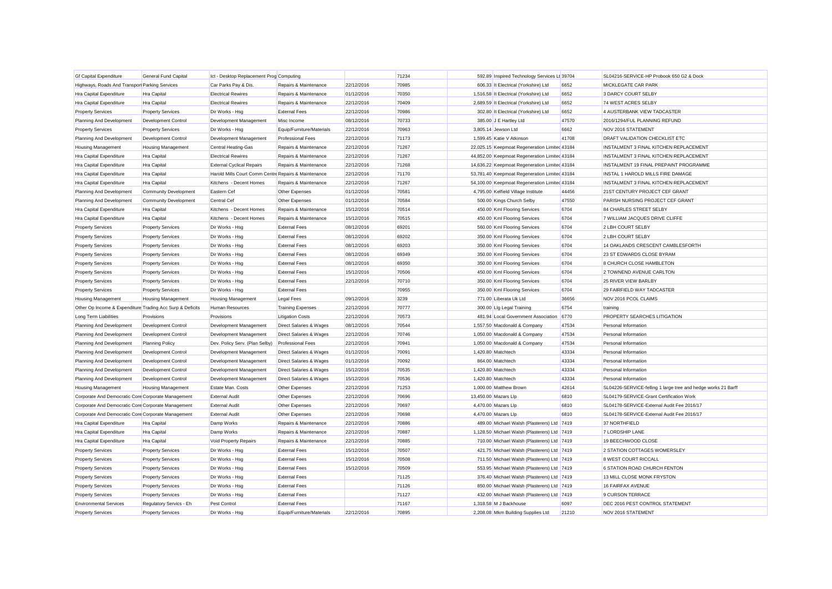| <b>Gf Capital Expenditure</b>                             | General Fund Capital         | Ict - Desktop Replacement Prog Computing             |                                    |            | 71234 | 592.89 Inspired Technology Services Lt 39704  |       | SL04216-SERVICE-HP Probook 650 G2 & Dock                      |
|-----------------------------------------------------------|------------------------------|------------------------------------------------------|------------------------------------|------------|-------|-----------------------------------------------|-------|---------------------------------------------------------------|
| Highways, Roads And Transpor Parking Services             |                              | Car Parks Pay & Dis.                                 | Repairs & Maintenance              | 22/12/2016 | 70985 | 606.33 It Electrical (Yorkshire) Ltd          | 6652  | MICKLEGATE CAR PARK                                           |
| Hra Capital Expenditure                                   | Hra Capital                  | <b>Electrical Rewires</b>                            | Repairs & Maintenance              | 01/12/2016 | 70350 | 1,516.58 It Electrical (Yorkshire) Ltd        | 6652  | 3 DARCY COURT SELBY                                           |
| Hra Capital Expenditure                                   | Hra Capital                  | <b>Electrical Rewires</b>                            | Repairs & Maintenance              | 22/12/2016 | 70409 | 2,689.59 It Electrical (Yorkshire) Ltd        | 6652  | 74 WEST ACRES SELBY                                           |
| <b>Property Services</b>                                  | <b>Property Services</b>     | Dir Works - Hsg                                      | <b>External Fees</b>               | 22/12/2016 | 70986 | 302.80 It Electrical (Yorkshire) Ltd          | 6652  | 4 AUSTERBANK VIEW TADCASTER                                   |
| Planning And Development                                  | Development Control          | Development Management                               | Misc Income                        | 08/12/2016 | 70733 | 385.00 J E Hartley Ltd                        | 47570 | 2016/1294/FUL PLANNING REFUND                                 |
| <b>Property Services</b>                                  | <b>Property Services</b>     | Dir Works - Hsg                                      | Equip/Furniture/Materials          | 22/12/2016 | 70963 | 3.805.14 Jewson Ltd                           | 6662  | NOV 2016 STATEMENT                                            |
| Planning And Development                                  | Development Control          | Development Management                               | <b>Professional Fees</b>           | 22/12/2016 | 71173 | 1,599.45 Katie V Atkinson                     | 41708 | DRAFT VALIDATION CHECKLIST ETC                                |
| <b>Housing Management</b>                                 | <b>Housing Management</b>    | <b>Central Heating-Gas</b>                           | Repairs & Maintenance              | 22/12/2016 | 71267 | 22,025.15 Keepmoat Regeneration Limited 43184 |       | INSTALMENT 3 FINAL KITCHEN REPLACEMENT                        |
| Hra Capital Expenditure                                   | Hra Capital                  | <b>Electrical Rewires</b>                            | Repairs & Maintenance              | 22/12/2016 | 71267 | 44,852.00 Keepmoat Regeneration Limited 43184 |       | INSTALMENT 3 FINAL KITCHEN REPLACEMENT                        |
| Hra Capital Expenditure                                   | Hra Capital                  | <b>External Cyclical Repairs</b>                     | Repairs & Maintenance              | 22/12/2016 | 71268 | 14,636.22 Keepmoat Regeneration Limited 43184 |       | INSTALMENT 19 FINAL PREPAINT PROGRAMME                        |
| <b>Hra Capital Expenditure</b>                            | Hra Capital                  | Harold Mills Court Comm Centre Repairs & Maintenance |                                    | 22/12/2016 | 71170 | 53,781.40 Keepmoat Regeneration Limited 43184 |       | INSTAL 1 HAROLD MILLS FIRE DAMAGE                             |
| <b>Hra Capital Expenditure</b>                            | Hra Capital                  | Kitchens - Decent Homes                              | Repairs & Maintenance              | 22/12/2016 | 71267 | 54,100.00 Keepmoat Regeneration Limited 43184 |       | INSTALMENT 3 FINAL KITCHEN REPLACEMENT                        |
| Planning And Development                                  | <b>Community Development</b> | Eastern Cef                                          | Other Expenses                     | 01/12/2016 | 70581 | 4,795.00 Kelfield Village Institute           | 44456 | 21ST CENTURY PROJECT CEF GRANT                                |
| Planning And Development                                  | <b>Community Development</b> | Central Cef                                          | Other Expenses                     | 01/12/2016 | 70584 | 500.00 Kings Church Selby                     | 47550 | PARISH NURSING PROJECT CEF GRANT                              |
| <b>Hra Capital Expenditure</b>                            | Hra Capital                  | Kitchens - Decent Homes                              | Repairs & Maintenance              | 15/12/2016 | 70514 | 450.00 Kml Flooring Services                  | 6704  | 84 CHARLES STREET SELBY                                       |
| Hra Capital Expenditure                                   | Hra Capital                  | Kitchens - Decent Homes                              | Repairs & Maintenance              | 15/12/2016 | 70515 | 450.00 Kml Flooring Services                  | 6704  | 7 WILLIAM JACQUES DRIVE CLIFFE                                |
| <b>Property Services</b>                                  | <b>Property Services</b>     | Dir Works - Hsg                                      | <b>External Fees</b>               | 08/12/2016 | 69201 | 560.00 Kml Flooring Services                  | 6704  | 2 LBH COURT SELBY                                             |
| <b>Property Services</b>                                  | <b>Property Services</b>     | Dir Works - Hsg                                      | <b>External Fees</b>               | 08/12/2016 | 69202 | 350.00 Kml Flooring Services                  | 6704  | 2 LBH COURT SELBY                                             |
| <b>Property Services</b>                                  | <b>Property Services</b>     | Dir Works - Hsg                                      | <b>External Fees</b>               | 08/12/2016 | 69203 | 350.00 Kml Flooring Services                  | 6704  | 14 OAKLANDS CRESCENT CAMBLESFORTH                             |
| <b>Property Services</b>                                  | <b>Property Services</b>     | Dir Works - Hsg                                      | <b>External Fees</b>               | 08/12/2016 | 69349 | 350.00 Kml Flooring Services                  | 6704  | 23 ST EDWARDS CLOSE BYRAM                                     |
| <b>Property Services</b>                                  | <b>Property Services</b>     | Dir Works - Hsg                                      | <b>External Fees</b>               | 08/12/2016 | 69350 | 350.00 Kml Flooring Services                  | 6704  | 8 CHURCH CLOSE HAMBLETON                                      |
| <b>Property Services</b>                                  | <b>Property Services</b>     | Dir Works - Hsg                                      | <b>External Fees</b>               | 15/12/2016 | 70506 | 450.00 Kml Flooring Services                  | 6704  | 2 TOWNEND AVENUE CARLTON                                      |
| Property Services                                         | <b>Property Services</b>     | Dir Works - Hsg                                      | <b>External Fees</b>               | 22/12/2016 | 70710 | 350.00 Kml Flooring Services                  | 6704  | 25 RIVER VIEW BARLBY                                          |
| <b>Property Services</b>                                  | <b>Property Services</b>     | Dir Works - Hsg                                      | <b>External Fees</b>               |            | 70955 | 350.00 Kml Flooring Services                  | 6704  | 29 FAIRFIELD WAY TADCASTER                                    |
| <b>Housing Management</b>                                 | <b>Housing Management</b>    | <b>Housing Management</b>                            | <b>Legal Fees</b>                  | 09/12/2016 | 3239  | 771.00 Liberata Uk Ltd                        | 36656 | NOV 2016 PCOL CLAIMS                                          |
| Other Op Income & Expenditure Trading Acc Surp & Deficits |                              | <b>Human Resources</b>                               | <b>Training Expenses</b>           | 22/12/2016 | 70777 | 300.00 Lig Legal Training                     | 6754  | training                                                      |
| Long Term Liabilities                                     | Provisions                   | Provisions                                           | <b>Litigation Costs</b>            | 22/12/2016 | 70573 | 481.94 Local Government Association           | 6770  | PROPERTY SEARCHES LITIGATION                                  |
| Planning And Development                                  | <b>Development Control</b>   | Development Management                               | <b>Direct Salaries &amp; Wages</b> | 08/12/2016 | 70544 | 1,557.50 Macdonald & Company                  | 47534 | Personal Information                                          |
| Planning And Development                                  | Development Control          | Development Management                               | <b>Direct Salaries &amp; Wages</b> | 22/12/2016 | 70746 | 1,050.00 Macdonald & Company                  | 47534 | Personal Information                                          |
| Planning And Development                                  | <b>Planning Policy</b>       | Dev. Policy Serv. (Plan Selby)                       | <b>Professional Fees</b>           | 22/12/2016 | 70941 | 1,050.00 Macdonald & Company                  | 47534 | Personal Information                                          |
| Planning And Development                                  | Development Control          | Development Management                               | <b>Direct Salaries &amp; Wages</b> | 01/12/2016 | 70091 | 1.420.80 Matchtech                            | 43334 | Personal Information                                          |
| Planning And Development                                  | Development Control          | Development Management                               | <b>Direct Salaries &amp; Wages</b> | 01/12/2016 | 70092 | 864.00 Matchtech                              | 43334 | Personal Information                                          |
| Planning And Development                                  | Development Control          | Development Management                               | <b>Direct Salaries &amp; Wages</b> | 15/12/2016 | 70535 | 1,420.80 Matchtech                            | 43334 | Personal Information                                          |
| Planning And Development                                  | <b>Development Control</b>   | Development Management                               | <b>Direct Salaries &amp; Wages</b> | 15/12/2016 | 70536 | 1,420.80 Matchtech                            | 43334 | Personal Information                                          |
| <b>Housing Management</b>                                 | <b>Housing Management</b>    | Estate Man. Costs                                    | Other Expenses                     | 22/12/2016 | 71253 | 1,000.00 Matthew Brown                        | 42614 | SL04226-SERVICE-felling 1 large tree and hedge works 21 Barff |
| Corporate And Democratic Core Corporate Management        |                              | <b>External Audit</b>                                | Other Expenses                     | 22/12/2016 | 70696 | 13,450.00 Mazars Llp                          | 6810  | SL04179-SERVICE-Grant Certification Work                      |
| Corporate And Democratic Core Corporate Management        |                              | <b>External Audit</b>                                | Other Expenses                     | 22/12/2016 | 70697 | 4,470.00 Mazars Llp                           | 6810  | SL04178-SERVICE-External Audit Fee 2016/17                    |
| Corporate And Democratic Core Corporate Management        |                              | <b>External Audit</b>                                | Other Expenses                     | 22/12/2016 | 70698 | 4,470.00 Mazars Llp                           | 6810  | SL04178-SERVICE-External Audit Fee 2016/17                    |
| Hra Capital Expenditure                                   | Hra Capital                  | Damp Works                                           | Repairs & Maintenance              | 22/12/2016 | 70886 | 489.00 Michael Walsh (Plasterers) Ltd 7419    |       | 37 NORTHFIELD                                                 |
| Hra Capital Expenditure                                   | <b>Hra Capital</b>           | Damp Works                                           | Repairs & Maintenance              | 22/12/2016 | 70887 | 1,128.50 Michael Walsh (Plasterers) Ltd 7419  |       | 7 LORDSHIP LANE                                               |
| Hra Capital Expenditure                                   | Hra Capital                  | Void Property Repairs                                | Repairs & Maintenance              | 22/12/2016 | 70885 | 710.00 Michael Walsh (Plasterers) Ltd 7419    |       | 19 BEECHWOOD CLOSE                                            |
| <b>Property Services</b>                                  | <b>Property Services</b>     | Dir Works - Hsg                                      | <b>External Fees</b>               | 15/12/2016 | 70507 | 421.75 Michael Walsh (Plasterers) Ltd 7419    |       | 2 STATION COTTAGES WOMERSLEY                                  |
| <b>Property Services</b>                                  | <b>Property Services</b>     | Dir Works - Hsg                                      | <b>External Fees</b>               | 15/12/2016 | 70508 | 711.50 Michael Walsh (Plasterers) Ltd 7419    |       | 8 WEST COURT RICCALL                                          |
| <b>Property Services</b>                                  | <b>Property Services</b>     | Dir Works - Hsg                                      | <b>External Fees</b>               | 15/12/2016 | 70509 | 553.95 Michael Walsh (Plasterers) Ltd 7419    |       | 6 STATION ROAD CHURCH FENTON                                  |
| <b>Property Services</b>                                  | <b>Property Services</b>     | Dir Works - Hsg                                      | <b>External Fees</b>               |            | 71125 | 376.40 Michael Walsh (Plasterers) Ltd 7419    |       | 13 MILL CLOSE MONK FRYSTON                                    |
| <b>Property Services</b>                                  | <b>Property Services</b>     | Dir Works - Hsg                                      | <b>External Fees</b>               |            | 71126 | 850.00 Michael Walsh (Plasterers) Ltd 7419    |       | <b>16 FAIRFAX AVENUE</b>                                      |
| <b>Property Services</b>                                  | <b>Property Services</b>     | Dir Works - Hsg                                      | <b>External Fees</b>               |            | 71127 | 432.00 Michael Walsh (Plasterers) Ltd 7419    |       | 9 CURSON TERRACE                                              |
| <b>Environmental Services</b>                             | Regulatory Servics - Eh      | Pest Control                                         | <b>External Fees</b>               |            | 71167 | 1.318.58 M J Backhouse                        | 6097  | DEC 2016 PEST CONTROL STATEMENT                               |
| <b>Property Services</b>                                  | <b>Property Services</b>     | Dir Works - Hsa                                      | Equip/Furniture/Materials          | 22/12/2016 | 70895 | 2.208.08 Mkm Building Supplies Ltd            | 21210 | <b>NOV 2016 STATEMENT</b>                                     |
|                                                           |                              |                                                      |                                    |            |       |                                               |       |                                                               |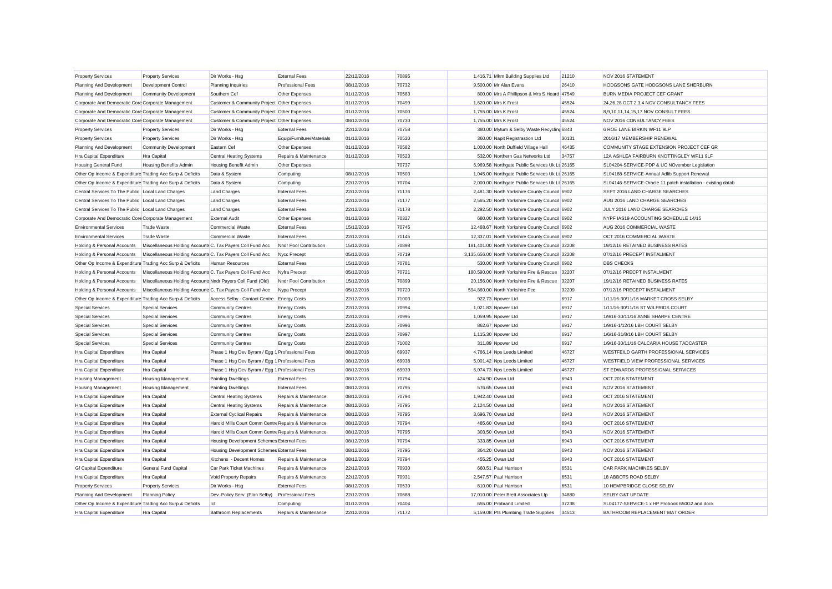| <b>Property Services</b>                                  | <b>Property Services</b>                                   | Dir Works - Hsg                                      | <b>External Fees</b>      | 22/12/2016 | 70895 |                   | 1,416.71 Mkm Building Supplies Ltd                | 21210 | NOV 2016 STATEMENT                                            |
|-----------------------------------------------------------|------------------------------------------------------------|------------------------------------------------------|---------------------------|------------|-------|-------------------|---------------------------------------------------|-------|---------------------------------------------------------------|
| Planning And Development                                  | Development Control                                        | <b>Planning Inquiries</b>                            | <b>Professional Fees</b>  | 08/12/2016 | 70732 |                   | 9,500.00 Mr Alan Evans                            | 26410 | HODGSONS GATE HODGSONS LANE SHERBURN                          |
| Planning And Development                                  | <b>Community Development</b>                               | Southern Cef                                         | Other Expenses            | 01/12/2016 | 70583 |                   | 800.00 Mrs A Phillipson & Mrs S Heard 47549       |       | BURN MEDIA PROJECT CEF GRANT                                  |
| Corporate And Democratic Core Corporate Management        |                                                            | Customer & Community Project Other Expenses          |                           | 01/12/2016 | 70499 |                   | 1,620.00 Mrs K Frost                              | 45524 | 24,26,28 OCT 2,3,4 NOV CONSULTANCY FEES                       |
| Corporate And Democratic Core Corporate Management        |                                                            | Customer & Community Project Other Expenses          |                           | 01/12/2016 | 70500 |                   | 1,755.00 Mrs K Frost                              | 45524 | 8,9,10,11,14,15,17 NOV CONSULT FEES                           |
| Corporate And Democratic Core Corporate Management        |                                                            | Customer & Community Project Other Expenses          |                           | 08/12/2016 | 70730 |                   | 1,755.00 Mrs K Frost                              | 45524 | NOV 2016 CONSULTANCY FEES                                     |
| <b>Property Services</b>                                  | <b>Property Services</b>                                   | Dir Works - Hsg                                      | <b>External Fees</b>      | 22/12/2016 | 70758 |                   | 380.00 Mytum & Selby Waste Recycling 6843         |       | 6 ROE LANE BIRKIN WF11 9LP                                    |
| <b>Property Services</b>                                  | <b>Property Services</b>                                   | Dir Works - Hsg                                      | Equip/Furniture/Materials | 01/12/2016 | 70520 |                   | 360.00 Napit Registrastion Ltd                    | 30131 | 2016/17 MEMBERSHIP RENEWAL                                    |
| Planning And Development                                  | <b>Community Development</b>                               | Eastern Cef                                          | Other Expenses            | 01/12/2016 | 70582 |                   | 1,000.00 North Duffield Village Hall              | 46435 | COMMUNITY STAGE EXTENSION PROJECT CEF GR                      |
| Hra Capital Expenditure                                   | Hra Capital                                                | <b>Central Heating Systems</b>                       | Repairs & Maintenance     | 01/12/2016 | 70523 |                   | 532.00 Northern Gas Networks Ltd                  | 34757 | 12A ASHLEA FAIRBURN KNOTTINGLEY WF11 9LF                      |
| <b>Housing General Fund</b>                               | <b>Housing Benefits Admin</b>                              | <b>Housing Benefit Admin</b>                         | Other Expenses            |            | 70737 |                   | 6,969.58 Northgate Public Services Uk Lt 26165    |       | SL04204-SERVICE-PDP & UC NOvember Legislation                 |
| Other Op Income & Expenditure Trading Acc Surp & Deficits |                                                            | Data & System                                        | Computing                 | 08/12/2016 | 70503 |                   | 1,045.00 Northgate Public Services Uk Lt 26165    |       | SL04188-SERVICE-Annual Adlib Support Renewal                  |
| Other Op Income & Expenditure Trading Acc Surp & Deficits |                                                            | Data & System                                        | Computing                 | 22/12/2016 | 70704 |                   | 2,000.00 Northgate Public Services Uk Lt 26165    |       | SL04146-SERVICE-Oracle 11 patch installation - existing datab |
| Central Services To The Public Local Land Charges         |                                                            | <b>Land Charges</b>                                  | <b>External Fees</b>      | 22/12/2016 | 71176 |                   | 2,481.30 North Yorkshire County Council 6902      |       | SEPT 2016 LAND CHARGE SEARCHES                                |
| Central Services To The Public Local Land Charges         |                                                            | <b>Land Charges</b>                                  | <b>External Fees</b>      | 22/12/2016 | 71177 |                   | 2,565.20 North Yorkshire County Council 6902      |       | AUG 2016 LAND CHARGE SEARCHES                                 |
| Central Services To The Public Local Land Charges         |                                                            | <b>Land Charges</b>                                  | <b>External Fees</b>      | 22/12/2016 | 71178 |                   | 2,292.50 North Yorkshire County Council 6902      |       | JULY 2016 LAND CHARGE SEARCHES                                |
| Corporate And Democratic Core Corporate Management        |                                                            | <b>External Audit</b>                                | Other Expenses            | 01/12/2016 | 70327 |                   | 680.00 North Yorkshire County Council 6902        |       | NYPF IAS19 ACCOUNTING SCHEDULE 14/15                          |
| <b>Environmental Services</b>                             | <b>Trade Waste</b>                                         | <b>Commercial Waste</b>                              | <b>External Fees</b>      | 15/12/2016 | 70745 |                   | 12,468.67 North Yorkshire County Council 6902     |       | AUG 2016 COMMERCIAL WASTE                                     |
| <b>Environmental Services</b>                             | <b>Trade Waste</b>                                         | Commercial Waste                                     | <b>External Fees</b>      | 22/12/2016 | 71145 |                   | 12,337.01 North Yorkshire County Council 6902     |       | OCT 2016 COMMERCIAL WASTE                                     |
| Holding & Personal Accounts                               | Miscellaneous Holding Accounts C. Tax Payers Coll Fund Acc |                                                      | Nndr Pool Contribution    | 15/12/2016 | 70898 |                   | 181,401.00 North Yorkshire County Council 32208   |       | 19/12/16 RETAINED BUSINESS RATES                              |
| Holding & Personal Accounts                               | Miscellaneous Holding Accounts C. Tax Payers Coll Fund Acc |                                                      | Nycc Precept              | 05/12/2016 | 70719 |                   | 3,135,656.00 North Yorkshire County Council 32208 |       | 07/12/16 PRECEPT INSTALMENT                                   |
| Other Op Income & Expenditure Trading Acc Surp & Deficits |                                                            | <b>Human Resources</b>                               | <b>External Fees</b>      | 15/12/2016 | 70781 |                   | 530.00 North Yorkshire County Council 6902        |       | <b>DBS CHECKS</b>                                             |
| Holding & Personal Accounts                               | Miscellaneous Holding Accounts C. Tax Payers Coll Fund Acc |                                                      | Nyfra Precept             | 05/12/2016 | 70721 |                   | 180.590.00 North Yorkshire Fire & Rescue 32207    |       | 07/12/16 PRECPT INSTALMENT                                    |
| Holding & Personal Accounts                               | Miscellaneous Holding Accounts Nndr Payers Coll Fund (Old) |                                                      | Nndr Pool Contribution    | 15/12/2016 | 70899 |                   | 20.156.00 North Yorkshire Fire & Rescue           | 32207 | 19/12/16 RETAINED BUSINESS RATES                              |
| Holding & Personal Accounts                               | Miscellaneous Holding Accounts C. Tax Payers Coll Fund Acc |                                                      | Nypa Precept              | 05/12/2016 | 70720 |                   | 594,860.00 North Yorkshire Pcc                    | 32209 | 07/12/16 PRECEPT INSTALMENT                                   |
| Other Op Income & Expenditure Trading Acc Surp & Deficits |                                                            | Access Selby - Contact Centre Energy Costs           |                           | 22/12/2016 | 71003 |                   | 922.73 Npower Ltd                                 | 6917  | 1/11/16-30/11/16 MARKET CROSS SELBY                           |
| <b>Special Services</b>                                   | <b>Special Services</b>                                    | <b>Community Centres</b>                             | <b>Energy Costs</b>       | 22/12/2016 | 70994 |                   | 1,021.83 Npower Ltd                               | 6917  | 1/11/16-30/11/16 ST WILFRIDS COURT                            |
| <b>Special Services</b>                                   | <b>Special Services</b>                                    | <b>Community Centres</b>                             | <b>Energy Costs</b>       | 22/12/2016 | 70995 |                   | 1,059.95 Npower Ltd                               | 6917  | 1/9/16-30/11/16 ANNE SHARPE CENTRE                            |
| <b>Special Services</b>                                   | <b>Special Services</b>                                    | <b>Community Centres</b>                             | <b>Energy Costs</b>       | 22/12/2016 | 70996 |                   | 862.67 Npower Ltd                                 | 6917  | 1/9/16-1/12/16 LBH COURT SELBY                                |
| <b>Special Services</b>                                   | <b>Special Services</b>                                    | <b>Community Centres</b>                             | <b>Energy Costs</b>       | 22/12/2016 | 70997 |                   | 1,115.30 Npower Ltd                               | 6917  | 1/6/16-31/8/16 LBH COURT SELBY                                |
| <b>Special Services</b>                                   | <b>Special Services</b>                                    | <b>Community Centres</b>                             | <b>Energy Costs</b>       | 22/12/2016 | 71002 |                   | 311.89 Npower Ltd                                 | 6917  | 1/9/16-30/11/16 CALCARIA HOUSE TADCASTER                      |
| Hra Capital Expenditure                                   | Hra Capital                                                | Phase 1 Hsg Dev Byram / Egg 1 Professional Fees      |                           | 08/12/2016 | 69937 |                   | 4,766.14 Nps Leeds Limited                        | 46727 | WESTFEILD GARTH PROFESSIONAL SERVICES                         |
| Hra Capital Expenditure                                   | Hra Capital                                                | Phase 1 Hsg Dev Byram / Egg 1 Professional Fees      |                           | 08/12/2016 | 69938 |                   | 5,001.42 Nps Leeds Limited                        | 46727 | WESTFIELD VIEW PROFESSIONAL SERVICES                          |
| Hra Capital Expenditure                                   | Hra Capital                                                | Phase 1 Hsg Dev Byram / Egg 1 Professional Fees      |                           | 08/12/2016 | 69939 |                   | 6,074.73 Nps Leeds Limited                        | 46727 | ST EDWARDS PROFESSIONAL SERVICES                              |
| <b>Housing Management</b>                                 | <b>Housing Management</b>                                  | <b>Painting Dwellings</b>                            | <b>External Fees</b>      | 08/12/2016 | 70794 |                   | 424.90 Owan Ltd                                   | 6943  | OCT 2016 STATEMENT                                            |
| <b>Housing Management</b>                                 | <b>Housing Management</b>                                  | <b>Painting Dwellings</b>                            | <b>External Fees</b>      | 08/12/2016 | 70795 |                   | 576.65 Owan Ltd                                   | 6943  | NOV 2016 STATEMENT                                            |
| Hra Capital Expenditure                                   | Hra Capital                                                | <b>Central Heating Systems</b>                       | Repairs & Maintenance     | 08/12/2016 | 70794 | 1.942.40 Owan Ltd |                                                   | 6943  | OCT 2016 STATEMENT                                            |
| Hra Capital Expenditure                                   | Hra Capital                                                | <b>Central Heating Systems</b>                       | Repairs & Maintenance     | 08/12/2016 | 70795 |                   | 2,124.50 Owan Ltd                                 | 6943  | NOV 2016 STATEMENT                                            |
| Hra Capital Expenditure                                   | Hra Capital                                                | <b>External Cyclical Repairs</b>                     | Repairs & Maintenance     | 08/12/2016 | 70795 |                   | 3,696.70 Owan Ltd                                 | 6943  | NOV 2016 STATEMENT                                            |
| Hra Capital Expenditure                                   | Hra Capital                                                | Harold Mills Court Comm Centre Repairs & Maintenance |                           | 08/12/2016 | 70794 |                   | 485.60 Owan Ltd                                   | 6943  | OCT 2016 STATEMENT                                            |
| Hra Capital Expenditure                                   | Hra Capital                                                | Harold Mills Court Comm Centre Repairs & Maintenance |                           | 08/12/2016 | 70795 |                   | 303.50 Owan Ltd                                   | 6943  | NOV 2016 STATEMENT                                            |
| <b>Hra Capital Expenditure</b>                            | Hra Capital                                                | Housing Development Schemes External Fees            |                           | 08/12/2016 | 70794 |                   | 333.85 Owan Ltd                                   | 6943  | OCT 2016 STATEMENT                                            |
| <b>Hra Capital Expenditure</b>                            | Hra Capital                                                | Housing Development Schemes External Fees            |                           | 08/12/2016 | 70795 |                   | 364.20 Owan Ltd                                   | 6943  | NOV 2016 STATEMENT                                            |
| <b>Hra Capital Expenditure</b>                            | Hra Capital                                                | Kitchens - Decent Homes                              | Repairs & Maintenance     | 08/12/2016 | 70794 |                   | 455.25 Owan Ltd                                   | 6943  | OCT 2016 STATEMENT                                            |
| <b>Gf Capital Expenditure</b>                             | General Fund Capital                                       | <b>Car Park Ticket Machines</b>                      | Repairs & Maintenance     | 22/12/2016 | 70930 |                   | 660.51 Paul Harrison                              | 6531  | CAR PARK MACHINES SELBY                                       |
| <b>Hra Capital Expenditure</b>                            | Hra Capital                                                | Void Property Repairs                                | Repairs & Maintenance     | 22/12/2016 | 70931 |                   | 2.547.57 Paul Harrison                            | 6531  | 18 ABBOTS ROAD SELBY                                          |
| <b>Property Services</b>                                  | <b>Property Services</b>                                   | Dir Works - Hsg                                      | <b>External Fees</b>      | 08/12/2016 | 70539 |                   | 810.00 Paul Harrison                              | 6531  | 10 HEMPBRIDGE CLOSE SELBY                                     |
| Planning And Development                                  | <b>Planning Policy</b>                                     | Dev. Policy Serv. (Plan Selby)                       | <b>Professional Fees</b>  | 22/12/2016 | 70688 |                   | 17.010.00 Peter Brett Associates Llp              | 34880 | SELBY G&T UPDATE                                              |
| Other Op Income & Expenditure Trading Acc Surp & Deficits |                                                            | Ict                                                  | Computing                 | 01/12/2016 | 70404 |                   | 655.00 Probrand Limited                           | 37238 | SL04177-SERVICE-1 x HP Probook 650G2 and dock                 |
| <b>Hra Capital Expenditure</b>                            | <b>Hra Capital</b>                                         | <b>Bathroom Replacements</b>                         | Repairs & Maintenance     | 22/12/2016 | 71172 |                   | 5.159.08 Pts Plumbing Trade Supplies              | 34513 | BATHROOM REPLACEMENT MAT ORDER                                |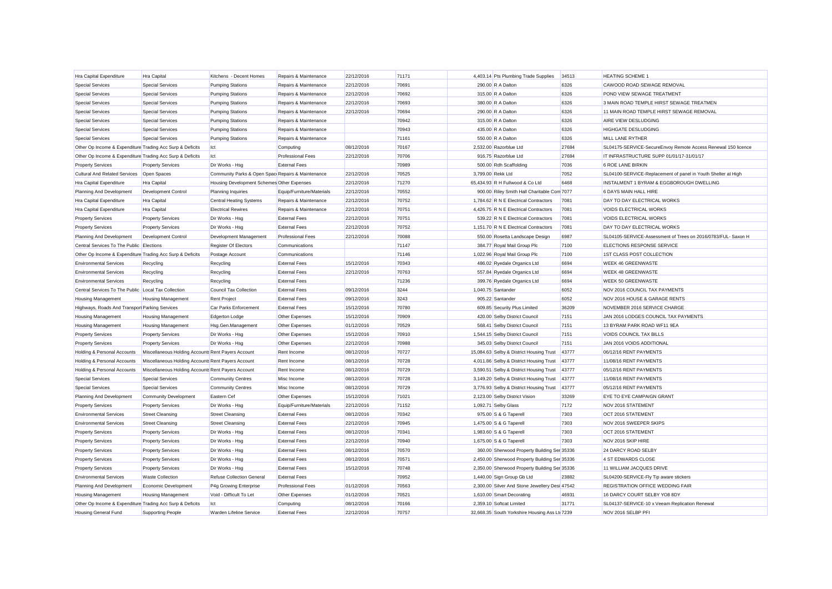| Hra Capital Expenditure                                   | Hra Capital                                        | Kitchens - Decent Homes                           | Repairs & Maintenance     | 22/12/2016 | 71171 | 4,403.14 Pts Plumbing Trade Supplies           | 34513 | <b>HEATING SCHEME 1</b>                                       |
|-----------------------------------------------------------|----------------------------------------------------|---------------------------------------------------|---------------------------|------------|-------|------------------------------------------------|-------|---------------------------------------------------------------|
| <b>Special Services</b>                                   | <b>Special Services</b>                            | <b>Pumping Stations</b>                           | Repairs & Maintenance     | 22/12/2016 | 70691 | 290.00 R A Dalton                              | 6326  | CAWOOD ROAD SEWAGE REMOVAL                                    |
| <b>Special Services</b>                                   | <b>Special Services</b>                            | <b>Pumping Stations</b>                           | Repairs & Maintenance     | 22/12/2016 | 70692 | 315.00 R A Dalton                              | 6326  | POND VIEW SEWAGE TREATMENT                                    |
| <b>Special Services</b>                                   | <b>Special Services</b>                            | <b>Pumping Stations</b>                           | Repairs & Maintenance     | 22/12/2016 | 70693 | 380.00 R A Dalton                              | 6326  | 3 MAIN ROAD TEMPLE HIRST SEWAGE TREATMEN                      |
| <b>Special Services</b>                                   | <b>Special Services</b>                            | <b>Pumping Stations</b>                           | Repairs & Maintenance     | 22/12/2016 | 70694 | 290.00 R A Dalton                              | 6326  | 11 MAIN ROAD TEMPLE HIRST SEWAGE REMOVAL                      |
| <b>Special Services</b>                                   | <b>Special Services</b>                            | <b>Pumping Stations</b>                           | Repairs & Maintenance     |            | 70942 | 315.00 R A Dalton                              | 6326  | AIRE VIEW DESLUDGING                                          |
| <b>Special Services</b>                                   | <b>Special Services</b>                            | <b>Pumping Stations</b>                           | Repairs & Maintenance     |            | 70943 | 435.00 R A Dalton                              | 6326  | HIGHGATE DESLUDGING                                           |
| <b>Special Services</b>                                   | <b>Special Services</b>                            | <b>Pumping Stations</b>                           | Repairs & Maintenance     |            | 71161 | 550.00 R A Dalton                              | 6326  | <b>MILL LANE RYTHER</b>                                       |
| Other Op Income & Expenditure Trading Acc Surp & Deficits |                                                    | lct                                               | Computing                 | 08/12/2016 | 70167 | 2,532.00 Razorblue Ltd                         | 27684 | SL04175-SERVICE-SecureEnvoy Remote Access Renewal 150 licence |
| Other Op Income & Expenditure Trading Acc Surp & Deficits |                                                    | lct                                               | <b>Professional Fees</b>  | 22/12/2016 | 70706 | 916.75 Razorblue Ltd                           | 27684 | IT INFRASTRUCTURE SUPP 01/01/17-31/01/17                      |
| <b>Property Services</b>                                  | <b>Property Services</b>                           | Dir Works - Hsg                                   | <b>External Fees</b>      |            | 70989 | 500.00 Rdh Scaffolding                         | 7036  | <b>6 ROE LANE BIRKIN</b>                                      |
| <b>Cultural And Related Services</b>                      | Open Spaces                                        | Community Parks & Open Spac Repairs & Maintenance |                           | 22/12/2016 | 70525 | 3.799.00 Rekk Ltd                              | 7052  | SL04100-SERVICE-Replacement of panel in Youth Shelter at High |
| <b>Hra Capital Expenditure</b>                            | Hra Capital                                        | Housing Development Schemes Other Expenses        |                           | 22/12/2016 | 71270 | 65,434.93 R H Fullwood & Co Ltd                | 6468  | INSTALMENT 1 BYRAM & EGGBOROUGH DWELLING                      |
| Planning And Development                                  | <b>Development Control</b>                         | Planning Inquiries                                | Equip/Furniture/Materials | 22/12/2016 | 70552 | 900.00 Riley Smith Hall Charitable Com 7077    |       | 6 DAYS MAIN HALL HIRE                                         |
| Hra Capital Expenditure                                   | Hra Capital                                        | Central Heating Systems                           | Repairs & Maintenance     | 22/12/2016 | 70752 | 1,784.62 R N E Electrical Contractors          | 7081  | DAY TO DAY ELECTRICAL WORKS                                   |
| Hra Capital Expenditure                                   | Hra Capital                                        | <b>Electrical Rewires</b>                         | Repairs & Maintenance     | 22/12/2016 | 70751 | 4,426.75 R N E Electrical Contractors          | 7081  | VOIDS ELECTRICAL WORKS                                        |
| <b>Property Services</b>                                  | <b>Property Services</b>                           | Dir Works - Hsg                                   | <b>External Fees</b>      | 22/12/2016 | 70751 | 539.22 R N E Electrical Contractors            | 7081  | VOIDS ELECTRICAL WORKS                                        |
| <b>Property Services</b>                                  | <b>Property Services</b>                           | Dir Works - Hsg                                   | <b>External Fees</b>      | 22/12/2016 | 70752 | 1,151.70 R N E Electrical Contractors          | 7081  | DAY TO DAY ELECTRICAL WORKS                                   |
| Planning And Development                                  | <b>Development Control</b>                         | Development Management                            | <b>Professional Fees</b>  | 22/12/2016 | 70088 | 550.00 Rosetta Landscape Design                | 6987  | SL04105-SERVICE-Assessment of Trees on 2016/0783/FUL- Saxon H |
| Central Services To The Public Elections                  |                                                    | Register Of Electors                              | Communications            |            | 71147 | 384.77 Royal Mail Group Plc                    | 7100  | ELECTIONS RESPONSE SERVICE                                    |
| Other Op Income & Expenditure Trading Acc Surp & Deficits |                                                    | Postage Account                                   | Communications            |            | 71146 | 1,022.96 Royal Mail Group Plc                  | 7100  | 1ST CLASS POST COLLECTION                                     |
| <b>Environmental Services</b>                             | Recycling                                          | Recycling                                         | <b>External Fees</b>      | 15/12/2016 | 70343 | 486.02 Ryedale Organics Ltd                    | 6694  | <b>WEEK 46 GREENWASTE</b>                                     |
| <b>Environmental Services</b>                             | Recycling                                          | Recycling                                         | <b>External Fees</b>      | 22/12/2016 | 70763 | 557.84 Ryedale Organics Ltd                    | 6694  | <b>WEEK 48 GREENWASTE</b>                                     |
| <b>Environmental Services</b>                             | Recycling                                          | Recycling                                         | <b>External Fees</b>      |            | 71236 | 399.76 Ryedale Organics Ltd                    | 6694  | <b>WEEK 50 GREENWASTE</b>                                     |
| Central Services To The Public                            | Local Tax Collection                               | Council Tax Collection                            | <b>External Fees</b>      | 09/12/2016 | 3244  | 1.040.75 Santander                             | 6052  | <b>NOV 2016 COUNCIL TAX PAYMENTS</b>                          |
| <b>Housing Management</b>                                 | <b>Housing Management</b>                          | <b>Rent Project</b>                               | <b>External Fees</b>      | 09/12/2016 | 3243  | 905.22 Santander                               | 6052  | NOV 2016 HOUSE & GARAGE RENTS                                 |
| Highways, Roads And Transpor Parking Services             |                                                    | Car Parks Enforcement                             | <b>External Fees</b>      | 15/12/2016 | 70780 | 609.85 Security Plus Limited                   | 36209 | NOVEMBER 2016 SERVICE CHARGE                                  |
| <b>Housing Management</b>                                 | <b>Housing Management</b>                          | Edgerton Lodge                                    | Other Expenses            | 15/12/2016 | 70909 | 420.00 Selby District Council                  | 7151  | JAN 2016 LODGES COUNCIL TAX PAYMENTS                          |
| <b>Housing Management</b>                                 | <b>Housing Management</b>                          | Hsg.Gen.Management                                | Other Expenses            | 01/12/2016 | 70529 | 568.41 Selby District Council                  | 7151  | 13 BYRAM PARK ROAD WF11 9EA                                   |
| <b>Property Services</b>                                  | <b>Property Services</b>                           | Dir Works - Hsg                                   | Other Expenses            | 15/12/2016 | 70910 | 1,544.15 Selby District Council                | 7151  | VOIDS COUNCIL TAX BILLS                                       |
| <b>Property Services</b>                                  | <b>Property Services</b>                           | Dir Works - Hsg                                   | Other Expenses            | 22/12/2016 | 70988 | 345.03 Selby District Council                  | 7151  | JAN 2016 VOIDS ADDITIONAL                                     |
| Holding & Personal Accounts                               | Miscellaneous Holding Accounts Rent Payers Account |                                                   | Rent Income               | 08/12/2016 | 70727 | 15,084.63 Selby & District Housing Trust       | 43777 | 06/12/16 RENT PAYMENTS                                        |
| Holding & Personal Accounts                               | Miscellaneous Holding Accounts Rent Payers Account |                                                   | Rent Income               | 08/12/2016 | 70728 | 4,011.86 Selby & District Housing Trust        | 43777 | 11/08/16 RENT PAYMENTS                                        |
| Holding & Personal Accounts                               | Miscellaneous Holding Accounts Rent Payers Account |                                                   | Rent Income               | 08/12/2016 | 70729 | 3,590.51 Selby & District Housing Trust        | 43777 | 05/12/16 RENT PAYMENTS                                        |
| <b>Special Services</b>                                   | <b>Special Services</b>                            | <b>Community Centres</b>                          | Misc Income               | 08/12/2016 | 70728 | 3,149.20 Selby & District Housing Trust        | 43777 | 11/08/16 RENT PAYMENTS                                        |
| <b>Special Services</b>                                   | <b>Special Services</b>                            | <b>Community Centres</b>                          | Misc Income               | 08/12/2016 | 70729 | 3,776.93 Selby & District Housing Trust        | 43777 | 05/12/16 RENT PAYMENTS                                        |
| Planning And Development                                  | <b>Community Development</b>                       | Eastern Cef                                       | Other Expenses            | 15/12/2016 | 71021 | 2,123.00 Selby District Vision                 | 33269 | EYE TO EYE CAMPAIGN GRANT                                     |
| <b>Property Services</b>                                  | <b>Property Services</b>                           | Dir Works - Hsg                                   | Equip/Furniture/Materials | 22/12/2016 | 71152 | 1,092.71 Selby Glass                           | 7172  | NOV 2016 STATEMENT                                            |
| <b>Environmental Services</b>                             | <b>Street Cleansing</b>                            | <b>Street Cleansing</b>                           | <b>External Fees</b>      | 08/12/2016 | 70342 | 975.00 S & G Taperell                          | 7303  | OCT 2016 STATEMENT                                            |
| <b>Environmental Services</b>                             | <b>Street Cleansing</b>                            | <b>Street Cleansing</b>                           | <b>External Fees</b>      | 22/12/2016 | 70945 | 1,475.00 S & G Taperell                        | 7303  | NOV 2016 SWEEPER SKIPS                                        |
| <b>Property Services</b>                                  | <b>Property Services</b>                           | Dir Works - Hsg                                   | <b>External Fees</b>      | 08/12/2016 | 70341 | 1,983.60 S & G Taperell                        | 7303  | OCT 2016 STATEMENT                                            |
| <b>Property Services</b>                                  | <b>Property Services</b>                           | Dir Works - Hsg                                   | <b>External Fees</b>      | 22/12/2016 | 70940 | 1,675.00 S & G Taperell                        | 7303  | NOV 2016 SKIP HIRE                                            |
| <b>Property Services</b>                                  | <b>Property Services</b>                           | Dir Works - Hsg                                   | <b>External Fees</b>      | 08/12/2016 | 70570 | 360.00 Sherwood Property Building Ser 35336    |       | 24 DARCY ROAD SELBY                                           |
| <b>Property Services</b>                                  | <b>Property Services</b>                           | Dir Works - Hsg                                   | <b>External Fees</b>      | 08/12/2016 | 70571 | 2,450.00 Sherwood Property Building Ser 35336  |       | 4 ST EDWARDS CLOSE                                            |
| <b>Property Services</b>                                  | <b>Property Services</b>                           | Dir Works - Hsg                                   | <b>External Fees</b>      | 15/12/2016 | 70748 | 2,350.00 Sherwood Property Building Ser 35336  |       | 11 WILLIAM JACQUES DRIVE                                      |
| <b>Environmental Services</b>                             | <b>Waste Collection</b>                            | <b>Refuse Collection General</b>                  | <b>External Fees</b>      |            | 70952 | 1,440.00 Sign Group Gb Ltd                     | 23882 | SL04200-SERVICE-Fly Tip aware stickers                        |
| Planning And Development                                  | Economic Development                               | P4g Growing Enterprise                            | <b>Professional Fees</b>  | 01/12/2016 | 70563 | 2,300.00 Silver And Stone Jewellery Desi 47542 |       | REGISTRATION OFFICE WEDDING FAIR                              |
| <b>Housing Management</b>                                 | <b>Housing Management</b>                          | Void - Difficult To Let                           | Other Expenses            | 01/12/2016 | 70521 | 1,610.00 Smart Decorating                      | 46931 | 16 DARCY COURT SELBY YO8 8DY                                  |
| Other Op Income & Expenditure Trading Acc Surp & Deficits |                                                    | lct                                               | Computing                 | 08/12/2016 | 70166 | 2.359.10 Softcat Limited                       | 31771 | SL04137-SERVICE-10 x Veeam Replication Renewal                |
| <b>Housing General Fund</b>                               | <b>Supporting People</b>                           | Warden Lifeline Service                           | <b>External Fees</b>      | 22/12/2016 | 70757 | 32,668.35 South Yorkshire Housing Ass Ltd 7239 |       | NOV 2016 SELBP PFI                                            |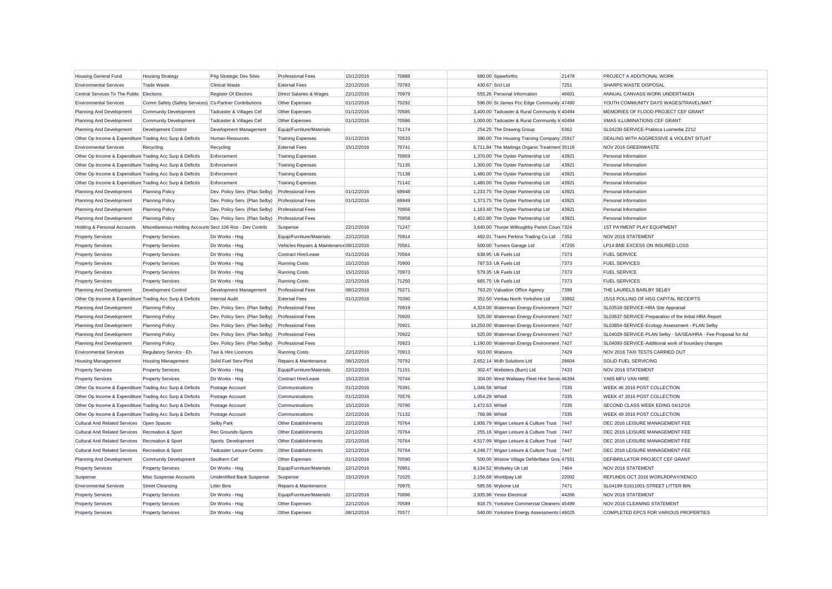| <b>Housing General Fund</b>                               | <b>Housing Strategy</b>                                   | P4g Strategic Dev Sites           | <b>Professional Fees</b>                  | 15/12/2016 | 70888 |                 | 680.00 Spawforths                              | 21478 | PROJECT A ADDITIONAL WORK                                     |
|-----------------------------------------------------------|-----------------------------------------------------------|-----------------------------------|-------------------------------------------|------------|-------|-----------------|------------------------------------------------|-------|---------------------------------------------------------------|
| <b>Environmental Services</b>                             | <b>Trade Waste</b>                                        | <b>Clinical Waste</b>             | <b>External Fees</b>                      | 22/12/2016 | 70783 | 430.67 Srcl Ltd |                                                | 7251  | SHARPS WASTE DISPOSAL                                         |
| Central Services To The Public                            | Elections                                                 | <b>Register Of Electors</b>       | <b>Direct Salaries &amp; Wages</b>        | 22/12/2016 | 70979 |                 | 555.26 Personal Information                    | 46601 | ANNUAL CANVASS WORK UNDERTAKEN                                |
| <b>Environmental Services</b>                             | Comm Safety (Safety Services) Cs-Partner Contributions    |                                   | Other Expenses                            | 01/12/2016 | 70292 |                 | 596.00 St James Pcc Edge Community 47490       |       | YOUTH COMMUNITY DAYS WAGES/TRAVEL/MAT                         |
| Planning And Development                                  | <b>Community Development</b>                              | Tadcaster & Villages Cef          | Other Expenses                            | 01/12/2016 | 70585 |                 | 3,400.00 Tadcaster & Rural Community Ir 40494  |       | MEMORIES OF FLOOD PROJECT CEF GRANT                           |
| Planning And Development                                  | <b>Community Development</b>                              | Tadcaster & Villages Cef          | Other Expenses                            | 01/12/2016 | 70586 |                 | 1,000.00 Tadcaster & Rural Community Ir 40494  |       | <b>XMAS ILLUMINATIONS CEF GRANT</b>                           |
| Planning And Development                                  | Development Control                                       | Development Management            | Equip/Furniture/Materials                 |            | 71174 |                 | 254.25 The Drawing Group                       | 6362  | SL04230-SERVICE-Praktica Luxmedia Z212                        |
| Other Op Income & Expenditure Trading Acc Surp & Deficits |                                                           | Human Resources                   | <b>Training Expenses</b>                  | 01/12/2016 | 70533 |                 | 390.00 The Housing Training Company 25917      |       | DEALING WITH AGGRESSIVE & VIOLENT SITUAT                      |
| <b>Environmental Services</b>                             | Recycling                                                 | Recycling                         | <b>External Fees</b>                      | 15/12/2016 | 70741 |                 | 6,711.84 The Maltings Organic Treatmen 35116   |       | NOV 2016 GREENWASTE                                           |
| Other Op Income & Expenditure Trading Acc Surp & Deficits |                                                           | Enforcement                       | <b>Training Expenses</b>                  |            | 70959 |                 | 1,370.00 The Oyster Partnership Ltd            | 43921 | Personal Information                                          |
| Other Op Income & Expenditure Trading Acc Surp & Deficits |                                                           | Enforcement                       | <b>Training Expenses</b>                  |            | 71135 |                 | 1,300.00 The Oyster Partnership Ltd            | 43921 | Personal Information                                          |
| Other Op Income & Expenditure Trading Acc Surp & Deficits |                                                           | Enforcement                       | <b>Training Expenses</b>                  |            | 71138 |                 | 1,480.00 The Oyster Partnership Ltd            | 43921 | Personal Information                                          |
| Other Op Income & Expenditure Trading Acc Surp & Deficits |                                                           | Enforcement                       | <b>Training Expenses</b>                  |            | 71142 |                 | 1,480.00 The Oyster Partnership Ltd            | 43921 | Personal Information                                          |
| Planning And Development                                  | <b>Planning Policy</b>                                    | Dev. Policy Serv. (Plan Selby)    | <b>Professional Fees</b>                  | 01/12/2016 | 69948 |                 | 1,233.75 The Oyster Partnership Ltd            | 43921 | Personal Information                                          |
| Planning And Development                                  | <b>Planning Policy</b>                                    | Dev. Policy Serv. (Plan Selby)    | <b>Professional Fees</b>                  | 01/12/2016 | 69949 |                 | 1,373.75 The Oyster Partnership Ltd            | 43921 | Personal Information                                          |
| Planning And Development                                  | <b>Planning Policy</b>                                    | Dev. Policy Serv. (Plan Selby)    | <b>Professional Fees</b>                  |            | 70956 |                 | 1,163.40 The Oyster Partnership Ltd            | 43921 | Personal Information                                          |
| Planning And Development                                  | <b>Planning Policy</b>                                    | Dev. Policy Serv. (Plan Selby)    | <b>Professional Fees</b>                  |            | 70958 |                 | 1,402.80 The Oyster Partnership Ltd            | 43921 | Personal Information                                          |
| Holding & Personal Accounts                               | Miscellaneous Holding Accounts Sect 106 Ros - Dev Contrib |                                   | Suspense                                  | 22/12/2016 | 71247 |                 | 3,640.00 Thorpe Willoughby Parish Coun 7324    |       | <b>1ST PAYMENT PLAY EQUIPMENT</b>                             |
| <b>Property Services</b>                                  | <b>Property Services</b>                                  | Dir Works - Hsg                   | Equip/Furniture/Materials                 | 22/12/2016 | 70914 |                 | 482.01 Travis Perkins Trading Co Ltd           | 7352  | NOV 2016 STATEMENT                                            |
| Property Services                                         | <b>Property Services</b>                                  | Dir Works - Hsg                   | Vehicles Repairs & Maintenance 08/12/2016 |            | 70561 |                 | 500.00 Turners Garage Ltd                      | 47255 | LP14 BNE EXCESS ON INSURED LOSS                               |
| <b>Property Services</b>                                  | <b>Property Services</b>                                  | Dir Works - Hsg                   | Contract Hire/Lease                       | 01/12/2016 | 70564 |                 | 638.95 Uk Fuels Ltd                            | 7373  | <b>FUEL SERVICE</b>                                           |
| <b>Property Services</b>                                  | <b>Property Services</b>                                  | Dir Works - Hsg                   | <b>Running Costs</b>                      | 15/12/2016 | 70900 |                 | 787.53 Uk Fuels Ltd                            | 7373  | <b>FUEL SERVICES</b>                                          |
| <b>Property Services</b>                                  | <b>Property Services</b>                                  | Dir Works - Hsg                   | <b>Running Costs</b>                      | 15/12/2016 | 70973 |                 | 579.35 Uk Fuels Ltd                            | 7373  | <b>FUEL SERVICE</b>                                           |
| <b>Property Services</b>                                  | <b>Property Services</b>                                  | Dir Works - Hsg                   | <b>Running Costs</b>                      | 22/12/2016 | 71250 |                 | 665.75 Uk Fuels Ltd                            | 7373  | <b>FUEL SERVICES</b>                                          |
| Planning And Development                                  | Development Control                                       | Development Management            | <b>Professional Fees</b>                  | 08/12/2016 | 70271 |                 | 763.20 Valuation Office Agency                 | 7399  | THE LAURELS BARLBY SELBY                                      |
| Other Op Income & Expenditure Trading Acc Surp & Deficits |                                                           | <b>Internal Audit</b>             | <b>External Fees</b>                      | 01/12/2016 | 70390 |                 | 352.50 Veritau North Yorkshire Ltd             | 33862 | 15/16 POLLING OF HSG CAPITAL RECEIPTS                         |
| Planning And Development                                  | <b>Planning Policy</b>                                    | Dev. Policy Serv. (Plan Selby)    | <b>Professional Fees</b>                  |            | 70919 |                 | 4,324.00 Waterman Energy Environment 7427      |       | SL03518-SERVICE-HRA Site Appraisal                            |
| Planning And Development                                  | <b>Planning Policy</b>                                    | Dev. Policy Serv. (Plan Selby)    | <b>Professional Fees</b>                  |            | 70920 |                 | 525.00 Waterman Energy Environment 7427        |       | SL03637-SERVICE-Preparation of the Initial HRA Report         |
| Planning And Development                                  | <b>Planning Policy</b>                                    | Dev. Policy Serv. (Plan Selby)    | <b>Professional Fees</b>                  |            | 70921 |                 | 14,250.00 Waterman Energy Environment 7427     |       | SL03854-SERVICE-Ecology Assessment - PLAN Selby               |
| Planning And Development                                  | <b>Planning Policy</b>                                    | Dev. Policy Serv. (Plan Selby)    | <b>Professional Fees</b>                  |            | 70922 |                 | 525.00 Waterman Energy Environment 7427        |       | SL04029-SERVICE-PLAN Selby - SA/SEA/HRA - Fee Proposal for Ad |
| Planning And Development                                  | <b>Planning Policy</b>                                    | Dev. Policy Serv. (Plan Selby)    | <b>Professional Fees</b>                  |            | 70923 |                 | 1,190.00 Waterman Energy Environment 7427      |       | SL04093-SERVICE-Additional work of boundary changes           |
| <b>Environmental Services</b>                             | Regulatory Servics - Eh                                   | Taxi & Hire Licences              | <b>Running Costs</b>                      | 22/12/2016 | 70913 |                 | 910.00 Watsons                                 | 7429  | NOV 2016 TAXI TESTS CARRIED OUT                               |
| <b>Housing Management</b>                                 | <b>Housing Management</b>                                 | Solid Fuel Serv-PInd              | Repairs & Maintenance                     | 08/12/2016 | 70792 |                 | 2,652.14 Wdh Solutions Ltd                     | 28604 | <b>SOLID FUEL SERVICING</b>                                   |
| <b>Property Services</b>                                  | <b>Property Services</b>                                  | Dir Works - Hsg                   | Equip/Furniture/Materials                 | 22/12/2016 | 71151 |                 | 302.47 Websters (Burn) Ltd                     | 7433  | <b>NOV 2016 STATEMENT</b>                                     |
| <b>Property Services</b>                                  | <b>Property Services</b>                                  | Dir Works - Hsg                   | Contract Hire/Lease                       | 15/12/2016 | 70744 |                 | 304.00 West Wallasey Fleet Hire Servic 46394   |       | YA65 MFU VAN HIRE                                             |
| Other Op Income & Expenditure Trading Acc Surp & Deficits |                                                           | Postage Account                   | Communications                            | 01/12/2016 | 70391 | 1.046.56 Whistl |                                                | 7335  | WEEK 46 2016 POST COLLECTION                                  |
| Other Op Income & Expenditure Trading Acc Surp & Deficits |                                                           | Postage Account                   | Communications                            | 01/12/2016 | 70576 | 1.054.29 Whistl |                                                | 7335  | WEEK 47 2016 POST COLLECTION                                  |
| Other Op Income & Expenditure Trading Acc Surp & Deficits |                                                           | Postage Account                   | Communications                            | 15/12/2016 | 70790 | 1,472.63 Whistl |                                                | 7335  | SECOND CLASS WEEK EDING 04/12/16                              |
| Other Op Income & Expenditure Trading Acc Surp & Deficits |                                                           | Postage Account                   | Communications                            | 22/12/2016 | 71132 | 766.98 Whistl   |                                                | 7335  | WEEK 49 2016 POST COLLECTION                                  |
| Cultural And Related Services   Open Spaces               |                                                           | <b>Selby Park</b>                 | Other Establishments                      | 22/12/2016 | 70764 |                 | 1,936.79 Wigan Leisure & Culture Trust         | 7447  | DEC 2016 LEISURE MANAGEMENT FEE                               |
| <b>Cultural And Related Services</b>                      | Recreation & Sport                                        | Rec Grounds-Sports                | Other Establishments                      | 22/12/2016 | 70764 |                 | 255.16 Wigan Leisure & Culture Trust           | 7447  | DEC 2016 LEISURE MANAGEMENT FEE                               |
| <b>Cultural And Related Services</b>                      | <b>Recreation &amp; Sport</b>                             | Sports Development                | Other Establishments                      | 22/12/2016 | 70764 |                 | 4,517.99 Wigan Leisure & Culture Trust         | 7447  | DEC 2016 LEISURE MANAGEMENT FEE                               |
| <b>Cultural And Related Services</b>                      | Recreation & Sport                                        | <b>Tadcaster Leisure Centre</b>   | Other Establishments                      | 22/12/2016 | 70764 |                 | 4,248.77 Wigan Leisure & Culture Trust         | 7447  | DEC 2016 LEISURE MANAGEMENT FEE                               |
| Planning And Development                                  | <b>Community Development</b>                              | Southern Cef                      | Other Expenses                            | 01/12/2016 | 70590 |                 | 500.00 Wistow Village Defibrillator Grou 47551 |       | DEFIBRILLATOR PROJECT CEF GRANT                               |
| <b>Property Services</b>                                  | <b>Property Services</b>                                  | Dir Works - Hsg                   | Equip/Furniture/Materials                 | 22/12/2016 | 70951 |                 | 8,134.52 Wolseley Uk Ltd                       | 7464  | NOV 2016 STATEMENT                                            |
| Suspense                                                  | Misc Suspense Accounts                                    | <b>Unidentified Bank Suspense</b> | Suspense                                  | 15/12/2016 | 71025 |                 | 2,156.68 Worldpay Ltd                          | 22002 | REFUNDS OCT 2016 WORLRDPAY/XENCO                              |
| <b>Environmental Services</b>                             | <b>Street Cleansing</b>                                   | <b>Litter Bins</b>                | Repairs & Maintenance                     |            | 70975 |                 | 585.56 Wybone Ltd                              | 7471  | SL04199-S1611001-STREET LITTER BIN                            |
| <b>Property Services</b>                                  | <b>Property Services</b>                                  | Dir Works - Hsg                   | Equip/Furniture/Materials                 | 22/12/2016 | 70896 |                 | 3,935.98 Yesss Electrical                      | 44266 | NOV 2016 STATEMENT                                            |
| <b>Property Services</b>                                  | <b>Property Services</b>                                  | Dir Works - Hsg                   | Other Expenses                            | 22/12/2016 | 70589 |                 | 818.75 Yorkshire Commercial Cleaners 45499     |       | NOV 2016 CLEANING STATEMENT                                   |
| <b>Property Services</b>                                  | <b>Property Services</b>                                  | Dir Works - Hsg                   | Other Expenses                            | 08/12/2016 | 70577 |                 | 540.00 Yorkshire Energy Assessments 46025      |       | COMPLETED EPCS FOR VARIOUS PROPERTIES                         |